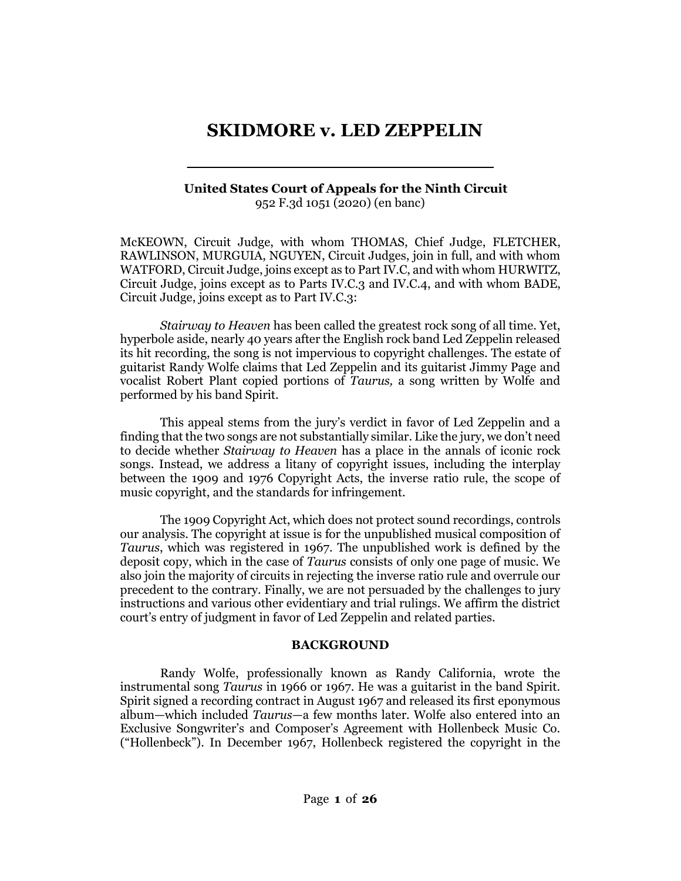# **[SKIDMORE](http://www.westlaw.com/Search/Results.html?query=advanced%3a+OAID(5021167205)&saveJuris=False&contentType=BUSINESS-INVESTIGATOR&startIndex=1&contextData=(sc.Default)&categoryPageUrl=Home%2fCompanyInvestigator&originationContext=document&vr=3.0&rs=cblt1.0&transitionType=DocumentItem) v. LED ZEPPELIN**

## **United States Court of Appeals for the Ninth Circuit**

952 F.3d 1051 (2020) (en banc)

**\_\_\_\_\_\_\_\_\_\_\_\_\_\_\_\_\_\_\_\_\_\_\_\_\_\_\_\_**

[McKEOWN,](http://www.westlaw.com/Link/Document/FullText?findType=h&pubNum=176284&cite=0125530001&originatingDoc=I03972340624a11ea901f977ab2e6b36d&refType=RQ&originationContext=document&vr=3.0&rs=cblt1.0&transitionType=DocumentItem&contextData=(sc.Search)) Circuit Judge, with whom [THOMAS,](http://www.westlaw.com/Link/Document/FullText?findType=h&pubNum=176284&cite=0221879201&originatingDoc=I03972340624a11ea901f977ab2e6b36d&refType=RQ&originationContext=document&vr=3.0&rs=cblt1.0&transitionType=DocumentItem&contextData=(sc.Search)) Chief Judge, [FLETCHER,](http://www.westlaw.com/Link/Document/FullText?findType=h&pubNum=176284&cite=0120717601&originatingDoc=I03972340624a11ea901f977ab2e6b36d&refType=RQ&originationContext=document&vr=3.0&rs=cblt1.0&transitionType=DocumentItem&contextData=(sc.Search)) [RAWLINSON,](http://www.westlaw.com/Link/Document/FullText?findType=h&pubNum=176284&cite=0189701501&originatingDoc=I03972340624a11ea901f977ab2e6b36d&refType=RQ&originationContext=document&vr=3.0&rs=cblt1.0&transitionType=DocumentItem&contextData=(sc.Search)) [MURGUIA,](http://www.westlaw.com/Link/Document/FullText?findType=h&pubNum=176284&cite=0116930401&originatingDoc=I03972340624a11ea901f977ab2e6b36d&refType=RQ&originationContext=document&vr=3.0&rs=cblt1.0&transitionType=DocumentItem&contextData=(sc.Search)) [NGUYEN,](http://www.westlaw.com/Link/Document/FullText?findType=h&pubNum=176284&cite=0427663801&originatingDoc=I03972340624a11ea901f977ab2e6b36d&refType=RQ&originationContext=document&vr=3.0&rs=cblt1.0&transitionType=DocumentItem&contextData=(sc.Search)) Circuit Judges, join in full, and with whom [WATFORD,](http://www.westlaw.com/Link/Document/FullText?findType=h&pubNum=176284&cite=0322080001&originatingDoc=I03972340624a11ea901f977ab2e6b36d&refType=RQ&originationContext=document&vr=3.0&rs=cblt1.0&transitionType=DocumentItem&contextData=(sc.Search)) Circuit Judge, joins except as to Part IV.C, and with who[m HURWITZ,](http://www.westlaw.com/Link/Document/FullText?findType=h&pubNum=176284&cite=0169087601&originatingDoc=I03972340624a11ea901f977ab2e6b36d&refType=RQ&originationContext=document&vr=3.0&rs=cblt1.0&transitionType=DocumentItem&contextData=(sc.Search)) Circuit Judge, joins except as to Parts IV.C.3 and IV.C.4, and with whom [BADE,](http://www.westlaw.com/Link/Document/FullText?findType=h&pubNum=176284&cite=0186005701&originatingDoc=I03972340624a11ea901f977ab2e6b36d&refType=RQ&originationContext=document&vr=3.0&rs=cblt1.0&transitionType=DocumentItem&contextData=(sc.Search)) Circuit Judge, joins except as to Part IV.C.3:

*Stairway to Heaven* has been called the greatest rock song of all time. Yet, hyperbole aside, nearly 40 years after the English rock band Led Zeppelin released its hit recording, the song is not impervious to copyright challenges. The estate of guitarist Randy Wolfe claims that Led Zeppelin and its guitarist Jimmy Page and vocalist Robert Plant copied portions of *Taurus,* a song written by Wolfe and performed by his band Spirit.

This appeal stems from the jury's verdict in favor of Led Zeppelin and a finding that the two songs are not substantially similar. Like the jury, we don't need to decide whether *Stairway to Heaven* has a place in the annals of iconic rock songs. Instead, we address a litany of copyright issues, including the interplay between the 1909 and 1976 Copyright Acts, the inverse ratio rule, the scope of music copyright, and the standards for infringement.

The 1909 Copyright Act, which does not protect sound recordings, controls our analysis. The copyright at issue is for the unpublished musical composition of *Taurus*, which was registered in 1967. The unpublished work is defined by the deposit copy, which in the case of *Taurus* consists of only one page of music. We also join the majority of circuits in rejecting the inverse ratio rule and overrule our precedent to the contrary. Finally, we are not persuaded by the challenges to jury instructions and various other evidentiary and trial rulings. We affirm the district court's entry of judgment in favor of Led Zeppelin and related parties.

## **BACKGROUND**

Randy Wolfe, professionally known as Randy California, wrote the instrumental song *Taurus* in 1966 or 1967. He was a guitarist in the band Spirit. Spirit signed a recording contract in August 1967 and released its first eponymous album—which included *Taurus*—a few months later. Wolfe also entered into an Exclusive Songwriter's and Composer's Agreement with Hollenbeck Music Co. ("Hollenbeck"). In December 1967, Hollenbeck registered the copyright in the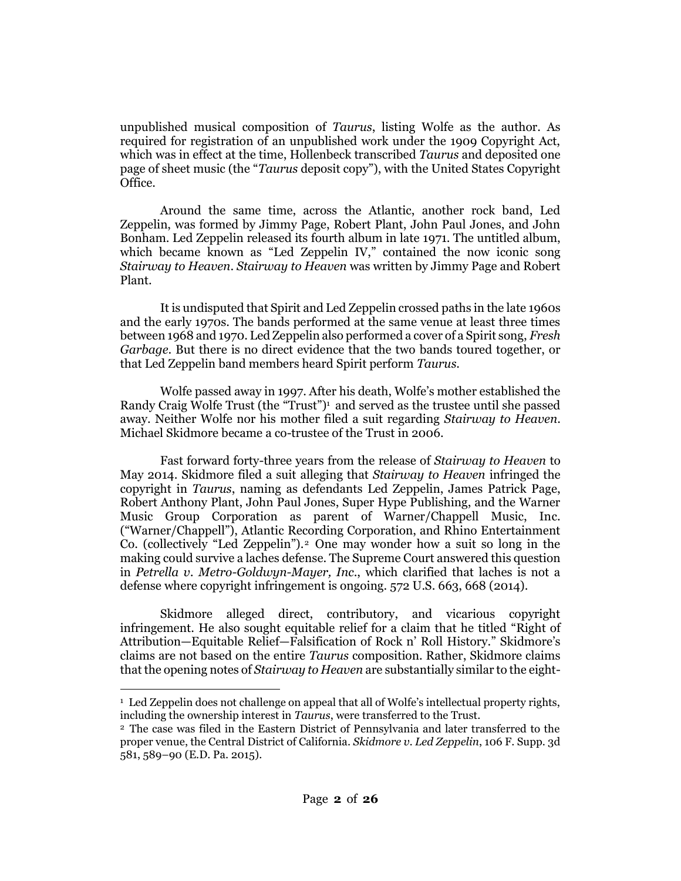unpublished musical composition of *Taurus*, listing Wolfe as the author. As required for registration of an unpublished work under the 1909 Copyright Act, which was in effect at the time, Hollenbeck transcribed *Taurus* and deposited one page of sheet music (the "*Taurus* deposit copy"), with the United States Copyright Office.

Around the same time, across the Atlantic, another rock band, Led Zeppelin, was formed by Jimmy Page, Robert Plant, John Paul Jones, and John Bonham. Led Zeppelin released its fourth album in late 1971. The untitled album, which became known as "Led Zeppelin IV," contained the now iconic song *Stairway to Heaven*. *Stairway to Heaven* was written by Jimmy Page and Robert Plant.

It is undisputed that Spirit and Led Zeppelin crossed paths in the late 1960s and the early 1970s. The bands performed at the same venue at least three times between 1968 and 1970. Led Zeppelin also performed a cover of a Spirit song, *Fresh Garbage*. But there is no direct evidence that the two bands toured together, or that Led Zeppelin band members heard Spirit perform *Taurus*.

Wolfe passed away in 1997. After his death, Wolfe's mother established the Randy Craig Wolfe Trust (the "Trust")<sup>1</sup> and served as the trustee until she passed away. Neither Wolfe nor his mother filed a suit regarding *Stairway to Heaven*. Michael Skidmore became a co-trustee of the Trust in 2006.

Fast forward forty-three years from the release of *Stairway to Heaven* to May 2014. Skidmore filed a suit alleging that *Stairway to Heaven* infringed the copyright in *Taurus*, naming as defendants Led Zeppelin, James Patrick Page, Robert Anthony Plant, John Paul Jones, Super Hype Publishing, and the Warner Music Group Corporation as parent of Warner/Chappell Music, Inc. ("Warner/Chappell"), Atlantic Recording Corporation, and Rhino Entertainment Co. (collectively "Led Zeppelin").<sup>2</sup> One may wonder how a suit so long in the making could survive a laches defense. The Supreme Court answered this question in *[Petrella v. Metro-Goldwyn-Mayer, Inc](http://www.westlaw.com/Link/Document/FullText?findType=Y&serNum=2033403958&pubNum=0000780&originatingDoc=I03972340624a11ea901f977ab2e6b36d&refType=RP&originationContext=document&vr=3.0&rs=cblt1.0&transitionType=DocumentItem&contextData=(sc.Search))*., which clarified that laches is not a defense where copyright infringement is ongoing. [572 U.S. 663, 668](http://www.westlaw.com/Link/Document/FullText?findType=Y&serNum=2033403958&pubNum=0000780&originatingDoc=I03972340624a11ea901f977ab2e6b36d&refType=RP&fi=co_pp_sp_780_668&originationContext=document&vr=3.0&rs=cblt1.0&transitionType=DocumentItem&contextData=(sc.Search)#co_pp_sp_780_668) (2014).

Skidmore alleged direct, contributory, and vicarious copyright infringement. He also sought equitable relief for a claim that he titled "Right of Attribution—Equitable Relief—Falsification of Rock n' Roll History." Skidmore's claims are not based on the entire *Taurus* composition. Rather, Skidmore claims that the opening notes of *Stairway to Heaven* are substantially similar to the eight-

<sup>&</sup>lt;sup>1</sup> Led Zeppelin does not challenge on appeal that all of Wolfe's intellectual property rights, including the ownership interest in *Taurus*, were transferred to the Trust.

<sup>2</sup> The case was filed in the Eastern District of Pennsylvania and later transferred to the proper venue, the Central District of California. *[Skidmore v. Led Zeppelin](http://www.westlaw.com/Link/Document/FullText?findType=Y&serNum=2036226203&pubNum=0007903&originatingDoc=I03972340624a11ea901f977ab2e6b36d&refType=RP&fi=co_pp_sp_7903_589&originationContext=document&vr=3.0&rs=cblt1.0&transitionType=DocumentItem&contextData=(sc.Search)#co_pp_sp_7903_589)*, 106 F. Supp. 3d 581, 589–[90 \(E.D. Pa. 2015\).](http://www.westlaw.com/Link/Document/FullText?findType=Y&serNum=2036226203&pubNum=0007903&originatingDoc=I03972340624a11ea901f977ab2e6b36d&refType=RP&fi=co_pp_sp_7903_589&originationContext=document&vr=3.0&rs=cblt1.0&transitionType=DocumentItem&contextData=(sc.Search)#co_pp_sp_7903_589)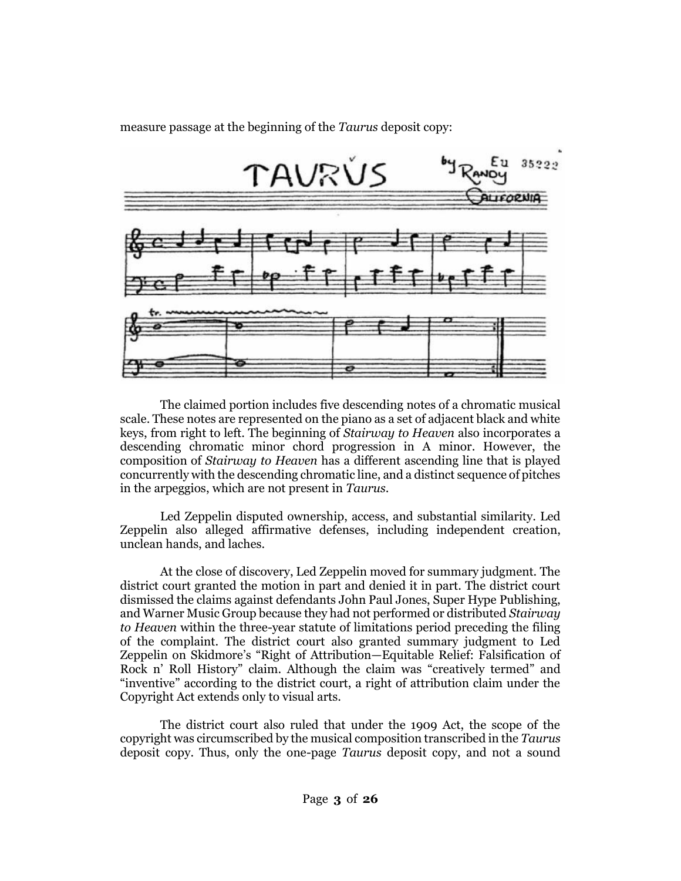measure passage at the beginning of the *Taurus* deposit copy:



The claimed portion includes five descending notes of a chromatic musical scale. These notes are represented on the piano as a set of adjacent black and white keys, from right to left. The beginning of *Stairway to Heaven* also incorporates a descending chromatic minor chord progression in A minor. However, the composition of *Stairway to Heaven* has a different ascending line that is played concurrently with the descending chromatic line, and a distinct sequence of pitches in the arpeggios, which are not present in *Taurus*.

Led Zeppelin disputed ownership, access, and substantial similarity. Led Zeppelin also alleged affirmative defenses, including independent creation, unclean hands, and laches.

At the close of discovery, Led Zeppelin moved for summary judgment. The district court granted the motion in part and denied it in part. The district court dismissed the claims against defendants John Paul Jones, Super Hype Publishing, and Warner Music Group because they had not performed or distributed *Stairway to Heaven* within the three-year statute of limitations period preceding the filing of the complaint. The district court also granted summary judgment to Led Zeppelin on Skidmore's "Right of Attribution—Equitable Relief: Falsification of Rock n' Roll History" claim. Although the claim was "creatively termed" and "inventive" according to the district court, a right of attribution claim under the Copyright Act extends only to visual arts.

The district court also ruled that under the 1909 Act, the scope of the copyright was circumscribed by the musical composition transcribed in the *Taurus* deposit copy. Thus, only the one-page *Taurus* deposit copy, and not a sound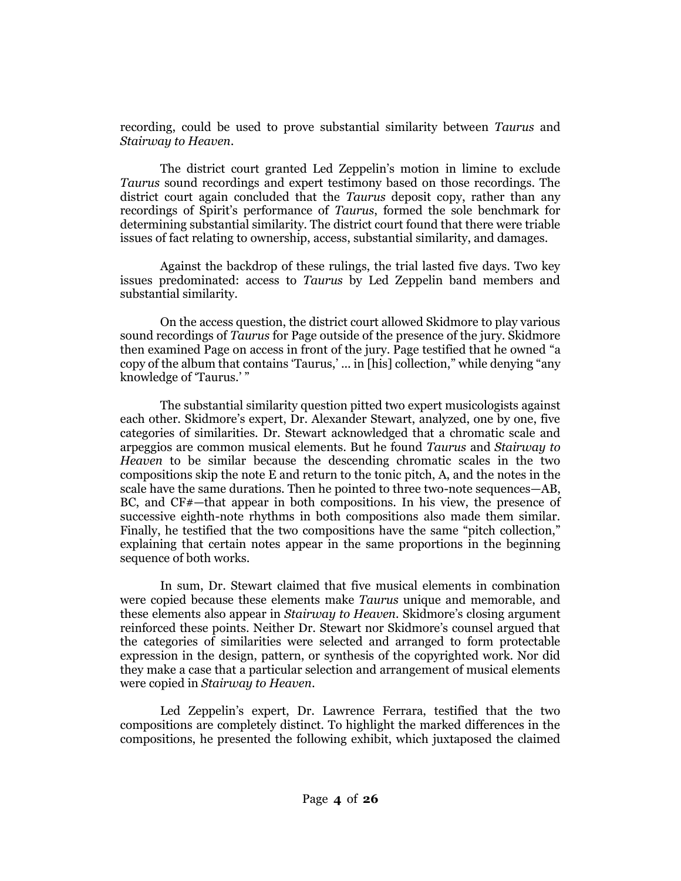recording, could be used to prove substantial similarity between *Taurus* and *Stairway to Heaven*.

The district court granted Led Zeppelin's motion in limine to exclude *Taurus* sound recordings and expert testimony based on those recordings. The district court again concluded that the *Taurus* deposit copy, rather than any recordings of Spirit's performance of *Taurus*, formed the sole benchmark for determining substantial similarity. The district court found that there were triable issues of fact relating to ownership, access, substantial similarity, and damages.

Against the backdrop of these rulings, the trial lasted five days. Two key issues predominated: access to *Taurus* by Led Zeppelin band members and substantial similarity.

On the access question, the district court allowed Skidmore to play various sound recordings of *Taurus* for Page outside of the presence of the jury. Skidmore then examined Page on access in front of the jury. Page testified that he owned "a copy of the album that contains 'Taurus,' ... in [his] collection," while denying "any knowledge of 'Taurus.' "

The substantial similarity question pitted two expert musicologists against each other. Skidmore's expert, Dr. Alexander Stewart, analyzed, one by one, five categories of similarities. Dr. Stewart acknowledged that a chromatic scale and arpeggios are common musical elements. But he found *Taurus* and *Stairway to Heaven* to be similar because the descending chromatic scales in the two compositions skip the note E and return to the tonic pitch, A, and the notes in the scale have the same durations. Then he pointed to three two-note sequences—AB, BC, and CF#—that appear in both compositions. In his view, the presence of successive eighth-note rhythms in both compositions also made them similar. Finally, he testified that the two compositions have the same "pitch collection," explaining that certain notes appear in the same proportions in the beginning sequence of both works.

In sum, Dr. Stewart claimed that five musical elements in combination were copied because these elements make *Taurus* unique and memorable, and these elements also appear in *Stairway to Heaven.* Skidmore's closing argument reinforced these points. Neither Dr. Stewart nor Skidmore's counsel argued that the categories of similarities were selected and arranged to form protectable expression in the design, pattern, or synthesis of the copyrighted work. Nor did they make a case that a particular selection and arrangement of musical elements were copied in *Stairway to Heaven*.

Led Zeppelin's expert, Dr. Lawrence Ferrara, testified that the two compositions are completely distinct. To highlight the marked differences in the compositions, he presented the following exhibit, which juxtaposed the claimed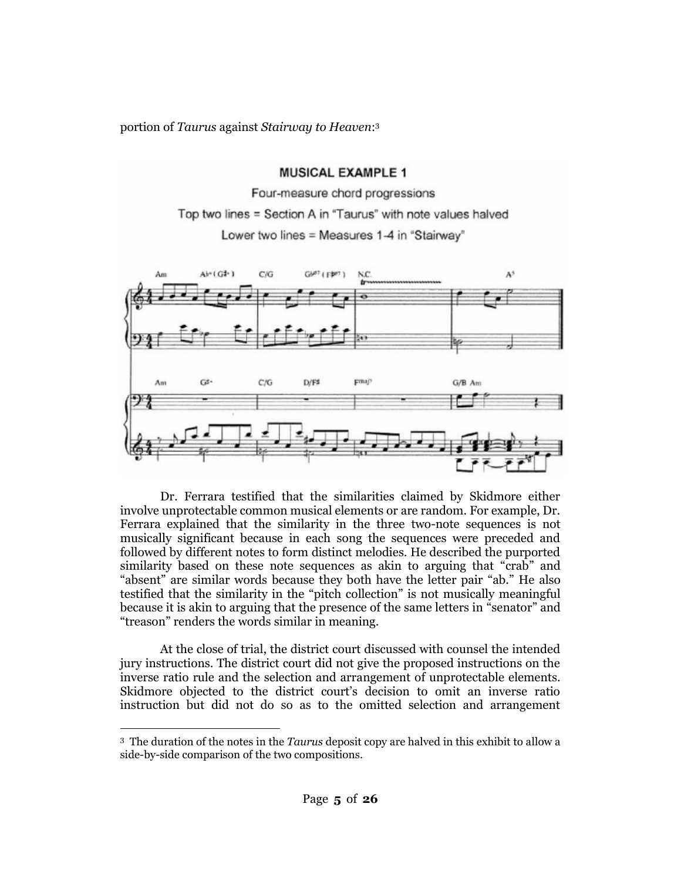portion of *Taurus* against *Stairway to Heaven*: 3

### **MUSICAL EXAMPLE 1**

Four-measure chord progressions Top two lines = Section A in "Taurus" with note values halved Lower two lines = Measures 1-4 in "Stairway"



Dr. Ferrara testified that the similarities claimed by Skidmore either involve unprotectable common musical elements or are random. For example, Dr. Ferrara explained that the similarity in the three two-note sequences is not musically significant because in each song the sequences were preceded and followed by different notes to form distinct melodies. He described the purported similarity based on these note sequences as akin to arguing that "crab" and "absent" are similar words because they both have the letter pair "ab." He also testified that the similarity in the "pitch collection" is not musically meaningful because it is akin to arguing that the presence of the same letters in "senator" and "treason" renders the words similar in meaning.

At the close of trial, the district court discussed with counsel the intended jury instructions. The district court did not give the proposed instructions on the inverse ratio rule and the selection and arrangement of unprotectable elements. Skidmore objected to the district court's decision to omit an inverse ratio instruction but did not do so as to the omitted selection and arrangement

<sup>3</sup> The duration of the notes in the *Taurus* deposit copy are halved in this exhibit to allow a side-by-side comparison of the two compositions.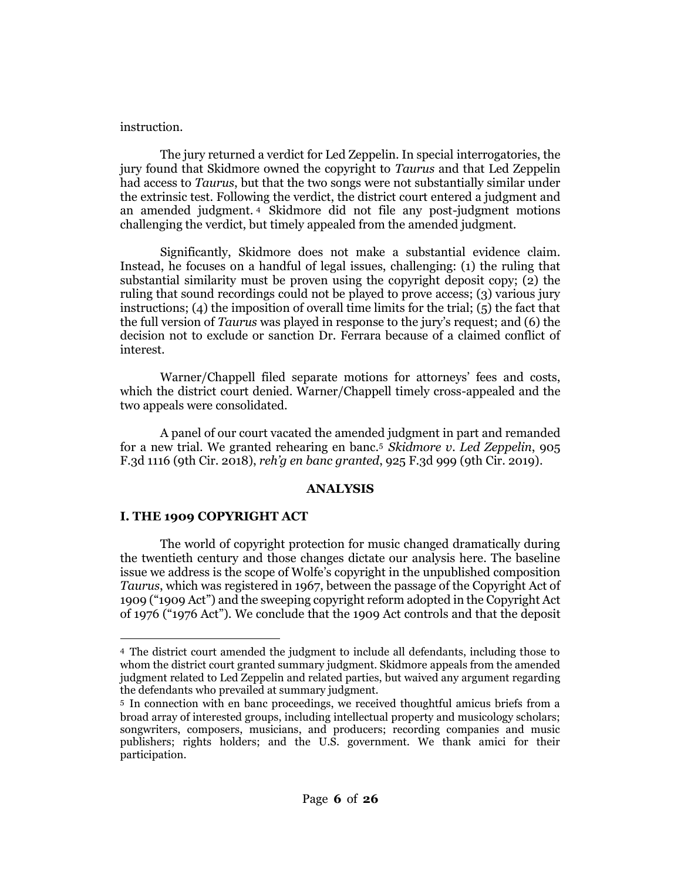#### instruction.

The jury returned a verdict for Led Zeppelin. In special interrogatories, the jury found that Skidmore owned the copyright to *Taurus* and that Led Zeppelin had access to *Taurus*, but that the two songs were not substantially similar under the extrinsic test. Following the verdict, the district court entered a judgment and an amended judgment. <sup>4</sup> Skidmore did not file any post-judgment motions challenging the verdict, but timely appealed from the amended judgment.

Significantly, Skidmore does not make a substantial evidence claim. Instead, he focuses on a handful of legal issues, challenging: (1) the ruling that substantial similarity must be proven using the copyright deposit copy; (2) the ruling that sound recordings could not be played to prove access; (3) various jury instructions; (4) the imposition of overall time limits for the trial; (5) the fact that the full version of *Taurus* was played in response to the jury's request; and (6) the decision not to exclude or sanction Dr. Ferrara because of a claimed conflict of interest.

Warner/Chappell filed separate motions for attorneys' fees and costs, which the district court denied. Warner/Chappell timely cross-appealed and the two appeals were consolidated.

A panel of our court vacated the amended judgment in part and remanded for a new trial. We granted rehearing en banc.<sup>5</sup> *[Skidmore v. Led Zeppelin](http://www.westlaw.com/Link/Document/FullText?findType=Y&serNum=2045608183&pubNum=0000506&originatingDoc=I03972340624a11ea901f977ab2e6b36d&refType=RP&originationContext=document&vr=3.0&rs=cblt1.0&transitionType=DocumentItem&contextData=(sc.Search))*, 905 [F.3d 1116 \(9th Cir. 2018\),](http://www.westlaw.com/Link/Document/FullText?findType=Y&serNum=2045608183&pubNum=0000506&originatingDoc=I03972340624a11ea901f977ab2e6b36d&refType=RP&originationContext=document&vr=3.0&rs=cblt1.0&transitionType=DocumentItem&contextData=(sc.Search)) *reh'g en banc granted*[, 925 F.3d 999 \(9th Cir. 2019\).](http://www.westlaw.com/Link/Document/FullText?findType=Y&serNum=2048451131&pubNum=0000506&originatingDoc=I03972340624a11ea901f977ab2e6b36d&refType=RP&originationContext=document&vr=3.0&rs=cblt1.0&transitionType=DocumentItem&contextData=(sc.Search))

#### **ANALYSIS**

#### **I. THE 1909 COPYRIGHT ACT**

The world of copyright protection for music changed dramatically during the twentieth century and those changes dictate our analysis here. The baseline issue we address is the scope of Wolfe's copyright in the unpublished composition *Taurus*, which was registered in 1967, between the passage of the Copyright Act of 1909 ("1909 Act") and the sweeping copyright reform adopted in the Copyright Act of 1976 ("1976 Act"). We conclude that the 1909 Act controls and that the deposit

<sup>4</sup> The district court amended the judgment to include all defendants, including those to whom the district court granted summary judgment. Skidmore appeals from the amended judgment related to Led Zeppelin and related parties, but waived any argument regarding the defendants who prevailed at summary judgment.

<sup>5</sup> In connection with en banc proceedings, we received thoughtful amicus briefs from a broad array of interested groups, including intellectual property and musicology scholars; songwriters, composers, musicians, and producers; recording companies and music publishers; rights holders; and the U.S. government. We thank amici for their participation.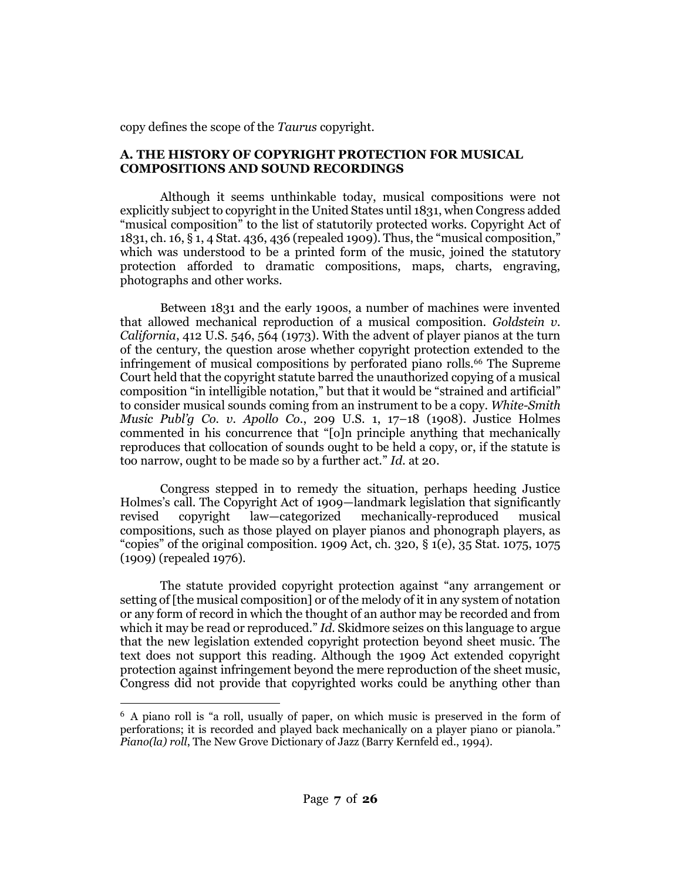copy defines the scope of the *Taurus* copyright.

#### **A. THE HISTORY OF COPYRIGHT PROTECTION FOR MUSICAL COMPOSITIONS AND SOUND RECORDINGS**

Although it seems unthinkable today, musical compositions were not explicitly subject to copyright in the United States until 1831, when Congress added "musical composition" to the list of statutorily protected works. Copyright Act of 1831, ch. 16, § 1, 4 Stat. 436, 436 (repealed 1909). Thus, the "musical composition," which was understood to be a printed form of the music, joined the statutory protection afforded to dramatic compositions, maps, charts, engraving, photographs and other works.

Between 1831 and the early 1900s, a number of machines were invented that allowed mechanical reproduction of a musical composition. *[Goldstein v.](http://www.westlaw.com/Link/Document/FullText?findType=Y&serNum=1973126419&pubNum=0000780&originatingDoc=I03972340624a11ea901f977ab2e6b36d&refType=RP&fi=co_pp_sp_780_564&originationContext=document&vr=3.0&rs=cblt1.0&transitionType=DocumentItem&contextData=(sc.Search)#co_pp_sp_780_564)  California*[, 412 U.S. 546, 564](http://www.westlaw.com/Link/Document/FullText?findType=Y&serNum=1973126419&pubNum=0000780&originatingDoc=I03972340624a11ea901f977ab2e6b36d&refType=RP&fi=co_pp_sp_780_564&originationContext=document&vr=3.0&rs=cblt1.0&transitionType=DocumentItem&contextData=(sc.Search)#co_pp_sp_780_564) (1973). With the advent of player pianos at the turn of the century, the question arose whether copyright protection extended to the infringement of musical compositions by perforated piano rolls.<sup>66</sup> The Supreme Court held that the copyright statute barred the unauthorized copying of a musical composition "in intelligible notation," but that it would be "strained and artificial" to consider musical sounds coming from an instrument to be a copy. *[White-Smith](http://www.westlaw.com/Link/Document/FullText?findType=Y&serNum=1908100372&pubNum=0000780&originatingDoc=I03972340624a11ea901f977ab2e6b36d&refType=RP&fi=co_pp_sp_780_17&originationContext=document&vr=3.0&rs=cblt1.0&transitionType=DocumentItem&contextData=(sc.Search)#co_pp_sp_780_17)  [Music Publ'g Co. v. Apollo Co.](http://www.westlaw.com/Link/Document/FullText?findType=Y&serNum=1908100372&pubNum=0000780&originatingDoc=I03972340624a11ea901f977ab2e6b36d&refType=RP&fi=co_pp_sp_780_17&originationContext=document&vr=3.0&rs=cblt1.0&transitionType=DocumentItem&contextData=(sc.Search)#co_pp_sp_780_17)*, 209 U.S. 1, 17–18 (1908). Justice Holmes commented in his concurrence that "[o]n principle anything that mechanically reproduces that collocation of sounds ought to be held a copy, or, if the statute is too narrow, ought to be made so by a further act." *Id.* [at 20.](http://www.westlaw.com/Link/Document/FullText?findType=Y&serNum=1908100372&pubNum=0000708&originatingDoc=I03972340624a11ea901f977ab2e6b36d&refType=RP&originationContext=document&vr=3.0&rs=cblt1.0&transitionType=DocumentItem&contextData=(sc.Search)) 

Congress stepped in to remedy the situation, perhaps heeding Justice Holmes's call. The Copyright Act of 1909—landmark legislation that significantly revised copyright law—categorized mechanically-reproduced musical revised copyright law—categorized mechanically-reproduced musical compositions, such as those played on player pianos and phonograph players, as "copies" of the original composition. 1909 Act, ch. 320,  $\S$  1(e), 35 Stat. 1075, 1075 (1909) (repealed 1976).

The statute provided copyright protection against "any arrangement or setting of [the musical composition] or of the melody of it in any system of notation or any form of record in which the thought of an author may be recorded and from which it may be read or reproduced." *Id.* Skidmore seizes on this language to argue that the new legislation extended copyright protection beyond sheet music. The text does not support this reading. Although the 1909 Act extended copyright protection against infringement beyond the mere reproduction of the sheet music, Congress did not provide that copyrighted works could be anything other than

<sup>6</sup> A piano roll is "a roll, usually of paper, on which music is preserved in the form of perforations; it is recorded and played back mechanically on a player piano or pianola." *Piano(la) roll*, The New Grove Dictionary of Jazz (Barry Kernfeld ed., 1994).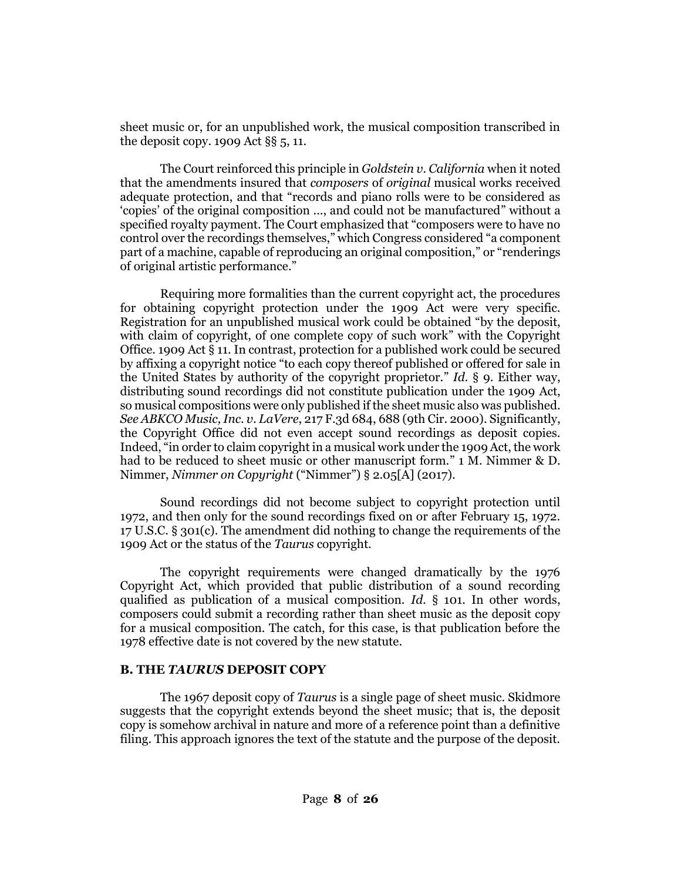sheet music or, for an unpublished work, the musical composition transcribed in the deposit copy. 1909 Act §§ 5, 11.

The Court reinforced this principle in *[Goldstein v. California](http://www.westlaw.com/Link/Document/FullText?findType=Y&serNum=1973126419&pubNum=0000780&originatingDoc=I03972340624a11ea901f977ab2e6b36d&refType=RP&originationContext=document&vr=3.0&rs=cblt1.0&transitionType=DocumentItem&contextData=(sc.Search))* when it noted that the amendments insured that *composers* of *original* musical works received adequate protection, and that "records and piano rolls were to be considered as 'copies' of the original composition ..., and could not be manufactured" without a specified royalty payment. The Court emphasized that "composers were to have no control over the recordings themselves," which Congress considered "a component part of a machine, capable of reproducing an original composition," or "renderings of original artistic performance."

Requiring more formalities than the current copyright act, the procedures for obtaining copyright protection under the 1909 Act were very specific. Registration for an unpublished musical work could be obtained "by the deposit, with claim of copyright, of one complete copy of such work" with the Copyright Office. 1909 Act § 11. In contrast, protection for a published work could be secured by affixing a copyright notice "to each copy thereof published or offered for sale in the United States by authority of the copyright proprietor." *Id.* § 9. Either way, distributing sound recordings did not constitute publication under the 1909 Act, so musical compositions were only published if the sheet music also was published. *See ABKCO Music, Inc. v. LaVere*[, 217 F.3d 684, 688 \(9th Cir. 2000\).](http://www.westlaw.com/Link/Document/FullText?findType=Y&serNum=2000387341&pubNum=0000506&originatingDoc=I03972340624a11ea901f977ab2e6b36d&refType=RP&fi=co_pp_sp_506_688&originationContext=document&vr=3.0&rs=cblt1.0&transitionType=DocumentItem&contextData=(sc.Search)#co_pp_sp_506_688) Significantly, the Copyright Office did not even accept sound recordings as deposit copies. Indeed, "in order to claim copyright in a musical work under the 1909 Act, the work had to be reduced to sheet music or other manuscript form." 1 M. Nimmer & D. Nimmer, *Nimmer on Copyright* ("Nimmer") § 2.05[A] (2017).

Sound recordings did not become subject to copyright protection until 1972, and then only for the sound recordings fixed on or after February 15, 1972. [17 U.S.C. § 301\(c\).](http://www.westlaw.com/Link/Document/FullText?findType=L&pubNum=1000546&cite=17USCAS301&originatingDoc=I03972340624a11ea901f977ab2e6b36d&refType=RB&originationContext=document&vr=3.0&rs=cblt1.0&transitionType=DocumentItem&contextData=(sc.Search)#co_pp_4b24000003ba5) The amendment did nothing to change the requirements of the 1909 Act or the status of the *Taurus* copyright.

The copyright requirements were changed dramatically by the 1976 Copyright Act, which provided that public distribution of a sound recording qualified as publication of a musical composition. *Id.* § 101. In other words, composers could submit a recording rather than sheet music as the deposit copy for a musical composition. The catch, for this case, is that publication before the 1978 effective date is not covered by the new statute.

## **B. THE** *TAURUS* **DEPOSIT COPY**

The 1967 deposit copy of *Taurus* is a single page of sheet music. Skidmore suggests that the copyright extends beyond the sheet music; that is, the deposit copy is somehow archival in nature and more of a reference point than a definitive filing. This approach ignores the text of the statute and the purpose of the deposit.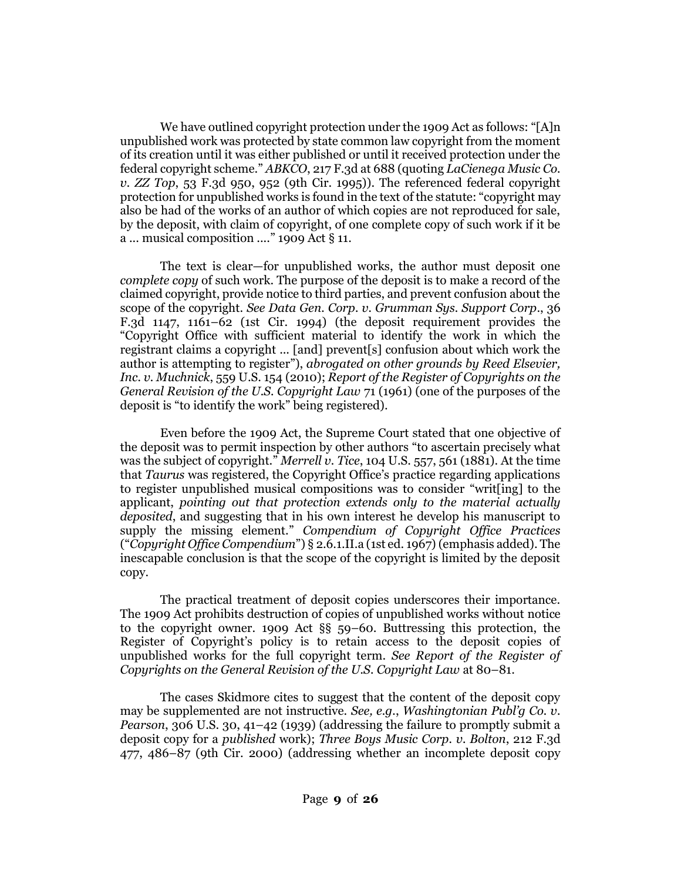We have outlined copyright protection under the 1909 Act as follows: "[A]n unpublished work was protected by state common law copyright from the moment of its creation until it was either published or until it received protection under the federal copyright scheme." *ABKCO*[, 217 F.3d at 688](http://www.westlaw.com/Link/Document/FullText?findType=Y&serNum=2000387341&pubNum=0000506&originatingDoc=I03972340624a11ea901f977ab2e6b36d&refType=RP&fi=co_pp_sp_506_688&originationContext=document&vr=3.0&rs=cblt1.0&transitionType=DocumentItem&contextData=(sc.Search)#co_pp_sp_506_688) (quoting *[LaCienega Music Co.](http://www.westlaw.com/Link/Document/FullText?findType=Y&serNum=1995088299&pubNum=0000506&originatingDoc=I03972340624a11ea901f977ab2e6b36d&refType=RP&fi=co_pp_sp_506_952&originationContext=document&vr=3.0&rs=cblt1.0&transitionType=DocumentItem&contextData=(sc.Search)#co_pp_sp_506_952)  v. ZZ Top*[, 53 F.3d 950, 952 \(9th Cir. 1995\)\)](http://www.westlaw.com/Link/Document/FullText?findType=Y&serNum=1995088299&pubNum=0000506&originatingDoc=I03972340624a11ea901f977ab2e6b36d&refType=RP&fi=co_pp_sp_506_952&originationContext=document&vr=3.0&rs=cblt1.0&transitionType=DocumentItem&contextData=(sc.Search)#co_pp_sp_506_952). The referenced federal copyright protection for unpublished works is found in the text of the statute: "copyright may also be had of the works of an author of which copies are not reproduced for sale, by the deposit, with claim of copyright, of one complete copy of such work if it be a ... musical composition  $\ldots$ " 1909 Act § 11.

The text is clear—for unpublished works, the author must deposit one *complete copy* of such work. The purpose of the deposit is to make a record of the claimed copyright, provide notice to third parties, and prevent confusion about the scope of the copyright. *See [Data Gen. Corp. v. Grumman Sys. Support Corp](http://www.westlaw.com/Link/Document/FullText?findType=Y&serNum=1994183914&pubNum=0000506&originatingDoc=I03972340624a11ea901f977ab2e6b36d&refType=RP&fi=co_pp_sp_506_1161&originationContext=document&vr=3.0&rs=cblt1.0&transitionType=DocumentItem&contextData=(sc.Search)#co_pp_sp_506_1161)*., 36 F.3d 1147, 1161–[62 \(1st Cir. 1994\)](http://www.westlaw.com/Link/Document/FullText?findType=Y&serNum=1994183914&pubNum=0000506&originatingDoc=I03972340624a11ea901f977ab2e6b36d&refType=RP&fi=co_pp_sp_506_1161&originationContext=document&vr=3.0&rs=cblt1.0&transitionType=DocumentItem&contextData=(sc.Search)#co_pp_sp_506_1161) (the deposit requirement provides the "Copyright Office with sufficient material to identify the work in which the registrant claims a copyright ... [and] prevent[s] confusion about which work the author is attempting to register"), *abrogated on other grounds by [Reed Elsevier,](http://www.westlaw.com/Link/Document/FullText?findType=Y&serNum=2021448087&pubNum=0000708&originatingDoc=I03972340624a11ea901f977ab2e6b36d&refType=RP&originationContext=document&vr=3.0&rs=cblt1.0&transitionType=DocumentItem&contextData=(sc.Search))  [Inc. v. Muchnick](http://www.westlaw.com/Link/Document/FullText?findType=Y&serNum=2021448087&pubNum=0000708&originatingDoc=I03972340624a11ea901f977ab2e6b36d&refType=RP&originationContext=document&vr=3.0&rs=cblt1.0&transitionType=DocumentItem&contextData=(sc.Search))*, 559 U.S. 154 (2010); *Report of the Register of Copyrights on the General Revision of the U.S. Copyright Law* 71 (1961) (one of the purposes of the deposit is "to identify the work" being registered).

Even before the 1909 Act, the Supreme Court stated that one objective of the deposit was to permit inspection by other authors "to ascertain precisely what was the subject of copyright." *Merrell v. Tice*[, 104 U.S. 557, 561](http://www.westlaw.com/Link/Document/FullText?findType=Y&serNum=1881194689&pubNum=0000780&originatingDoc=I03972340624a11ea901f977ab2e6b36d&refType=RP&fi=co_pp_sp_780_561&originationContext=document&vr=3.0&rs=cblt1.0&transitionType=DocumentItem&contextData=(sc.Search)#co_pp_sp_780_561) (1881). At the time that *Taurus* was registered, the Copyright Office's practice regarding applications to register unpublished musical compositions was to consider "writ[ing] to the applicant, *pointing out that protection extends only to the material actually deposited*, and suggesting that in his own interest he develop his manuscript to supply the missing element." *Compendium of Copyright Office Practices* ("*Copyright Office Compendium*") § 2.6.1.II.a (1st ed. 1967) (emphasis added). The inescapable conclusion is that the scope of the copyright is limited by the deposit copy.

The practical treatment of deposit copies underscores their importance. The 1909 Act prohibits destruction of copies of unpublished works without notice to the copyright owner. 1909 Act §§ 59–60. Buttressing this protection, the Register of Copyright's policy is to retain access to the deposit copies of unpublished works for the full copyright term. *See Report of the Register of Copyrights on the General Revision of the U.S. Copyright Law* at 80–81.

The cases Skidmore cites to suggest that the content of the deposit copy may be supplemented are not instructive. *See, e.g.*, *[Washingtonian Publ'g Co. v.](http://www.westlaw.com/Link/Document/FullText?findType=Y&serNum=1939124915&pubNum=0000780&originatingDoc=I03972340624a11ea901f977ab2e6b36d&refType=RP&fi=co_pp_sp_780_41&originationContext=document&vr=3.0&rs=cblt1.0&transitionType=DocumentItem&contextData=(sc.Search)#co_pp_sp_780_41)  Pearson*[, 306 U.S. 30, 41](http://www.westlaw.com/Link/Document/FullText?findType=Y&serNum=1939124915&pubNum=0000780&originatingDoc=I03972340624a11ea901f977ab2e6b36d&refType=RP&fi=co_pp_sp_780_41&originationContext=document&vr=3.0&rs=cblt1.0&transitionType=DocumentItem&contextData=(sc.Search)#co_pp_sp_780_41)–42 (1939) (addressing the failure to promptly submit a deposit copy for a *published* work); *[Three Boys Music Corp. v. Bolton](http://www.westlaw.com/Link/Document/FullText?findType=Y&serNum=2000304625&pubNum=0000506&originatingDoc=I03972340624a11ea901f977ab2e6b36d&refType=RP&fi=co_pp_sp_506_486&originationContext=document&vr=3.0&rs=cblt1.0&transitionType=DocumentItem&contextData=(sc.Search)#co_pp_sp_506_486)*, 212 F.3d 477, 486–[87 \(9th Cir. 2000\)](http://www.westlaw.com/Link/Document/FullText?findType=Y&serNum=2000304625&pubNum=0000506&originatingDoc=I03972340624a11ea901f977ab2e6b36d&refType=RP&fi=co_pp_sp_506_486&originationContext=document&vr=3.0&rs=cblt1.0&transitionType=DocumentItem&contextData=(sc.Search)#co_pp_sp_506_486) (addressing whether an incomplete deposit copy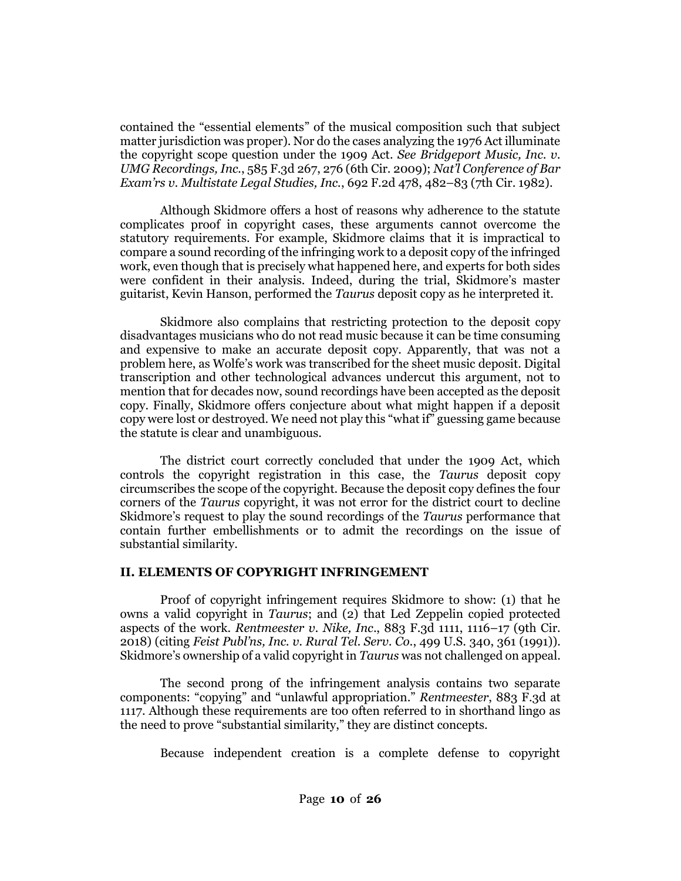contained the "essential elements" of the musical composition such that subject matter jurisdiction was proper). Nor do the cases analyzing the 1976 Act illuminate the copyright scope question under the 1909 Act. *See [Bridgeport Music, Inc. v.](http://www.westlaw.com/Link/Document/FullText?findType=Y&serNum=2020295760&pubNum=0000506&originatingDoc=I03972340624a11ea901f977ab2e6b36d&refType=RP&fi=co_pp_sp_506_276&originationContext=document&vr=3.0&rs=cblt1.0&transitionType=DocumentItem&contextData=(sc.Search)#co_pp_sp_506_276)  UMG Recordings, Inc.*[, 585 F.3d 267, 276 \(6th Cir. 2009\);](http://www.westlaw.com/Link/Document/FullText?findType=Y&serNum=2020295760&pubNum=0000506&originatingDoc=I03972340624a11ea901f977ab2e6b36d&refType=RP&fi=co_pp_sp_506_276&originationContext=document&vr=3.0&rs=cblt1.0&transitionType=DocumentItem&contextData=(sc.Search)#co_pp_sp_506_276) *[Nat'l Conference of Bar](http://www.westlaw.com/Link/Document/FullText?findType=Y&serNum=1982147393&pubNum=0000350&originatingDoc=I03972340624a11ea901f977ab2e6b36d&refType=RP&fi=co_pp_sp_350_482&originationContext=document&vr=3.0&rs=cblt1.0&transitionType=DocumentItem&contextData=(sc.Search)#co_pp_sp_350_482)  [Exam'rs v. Multistate Legal S](http://www.westlaw.com/Link/Document/FullText?findType=Y&serNum=1982147393&pubNum=0000350&originatingDoc=I03972340624a11ea901f977ab2e6b36d&refType=RP&fi=co_pp_sp_350_482&originationContext=document&vr=3.0&rs=cblt1.0&transitionType=DocumentItem&contextData=(sc.Search)#co_pp_sp_350_482)tudies, Inc.*, 692 F.2d 478, 482–83 (7th Cir. 1982).

Although Skidmore offers a host of reasons why adherence to the statute complicates proof in copyright cases, these arguments cannot overcome the statutory requirements. For example, Skidmore claims that it is impractical to compare a sound recording of the infringing work to a deposit copy of the infringed work, even though that is precisely what happened here, and experts for both sides were confident in their analysis. Indeed, during the trial, Skidmore's master guitarist, Kevin Hanson, performed the *Taurus* deposit copy as he interpreted it.

Skidmore also complains that restricting protection to the deposit copy disadvantages musicians who do not read music because it can be time consuming and expensive to make an accurate deposit copy. Apparently, that was not a problem here, as Wolfe's work was transcribed for the sheet music deposit. Digital transcription and other technological advances undercut this argument, not to mention that for decades now, sound recordings have been accepted as the deposit copy. Finally, Skidmore offers conjecture about what might happen if a deposit copy were lost or destroyed. We need not play this "what if" guessing game because the statute is clear and unambiguous.

The district court correctly concluded that under the 1909 Act, which controls the copyright registration in this case, the *Taurus* deposit copy circumscribes the scope of the copyright. Because the deposit copy defines the four corners of the *Taurus* copyright, it was not error for the district court to decline Skidmore's request to play the sound recordings of the *Taurus* performance that contain further embellishments or to admit the recordings on the issue of substantial similarity.

#### **II. ELEMENTS OF COPYRIGHT INFRINGEMENT**

Proof of copyright infringement requires Skidmore to show: (1) that he owns a valid copyright in *Taurus*; and (2) that Led Zeppelin copied protected aspects of the work. *[Rentmeester v. Nike, Inc](http://www.westlaw.com/Link/Document/FullText?findType=Y&serNum=2043897592&pubNum=0000506&originatingDoc=I03972340624a11ea901f977ab2e6b36d&refType=RP&fi=co_pp_sp_506_1116&originationContext=document&vr=3.0&rs=cblt1.0&transitionType=DocumentItem&contextData=(sc.Search)#co_pp_sp_506_1116)*., 883 F.3d 1111, 1116–17 (9th Cir. [2018\)](http://www.westlaw.com/Link/Document/FullText?findType=Y&serNum=2043897592&pubNum=0000506&originatingDoc=I03972340624a11ea901f977ab2e6b36d&refType=RP&fi=co_pp_sp_506_1116&originationContext=document&vr=3.0&rs=cblt1.0&transitionType=DocumentItem&contextData=(sc.Search)#co_pp_sp_506_1116) (citing *[Feist Publ'ns, Inc. v. Rural Tel. Serv. Co.](http://www.westlaw.com/Link/Document/FullText?findType=Y&serNum=1991060551&pubNum=0000780&originatingDoc=I03972340624a11ea901f977ab2e6b36d&refType=RP&fi=co_pp_sp_780_361&originationContext=document&vr=3.0&rs=cblt1.0&transitionType=DocumentItem&contextData=(sc.Search)#co_pp_sp_780_361)*, 499 U.S. 340, 361 (1991)). Skidmore's ownership of a valid copyright in *Taurus* was not challenged on appeal.

The second prong of the infringement analysis contains two separate components: "copying" and "unlawful appropriation." *Rentmeester*[, 883 F.3d at](http://www.westlaw.com/Link/Document/FullText?findType=Y&serNum=2043897592&pubNum=0000506&originatingDoc=I03972340624a11ea901f977ab2e6b36d&refType=RP&fi=co_pp_sp_506_1117&originationContext=document&vr=3.0&rs=cblt1.0&transitionType=DocumentItem&contextData=(sc.Search)#co_pp_sp_506_1117)  [1117.](http://www.westlaw.com/Link/Document/FullText?findType=Y&serNum=2043897592&pubNum=0000506&originatingDoc=I03972340624a11ea901f977ab2e6b36d&refType=RP&fi=co_pp_sp_506_1117&originationContext=document&vr=3.0&rs=cblt1.0&transitionType=DocumentItem&contextData=(sc.Search)#co_pp_sp_506_1117) Although these requirements are too often referred to in shorthand lingo as the need to prove "substantial similarity," they are distinct concepts.

Because independent creation is a complete defense to copyright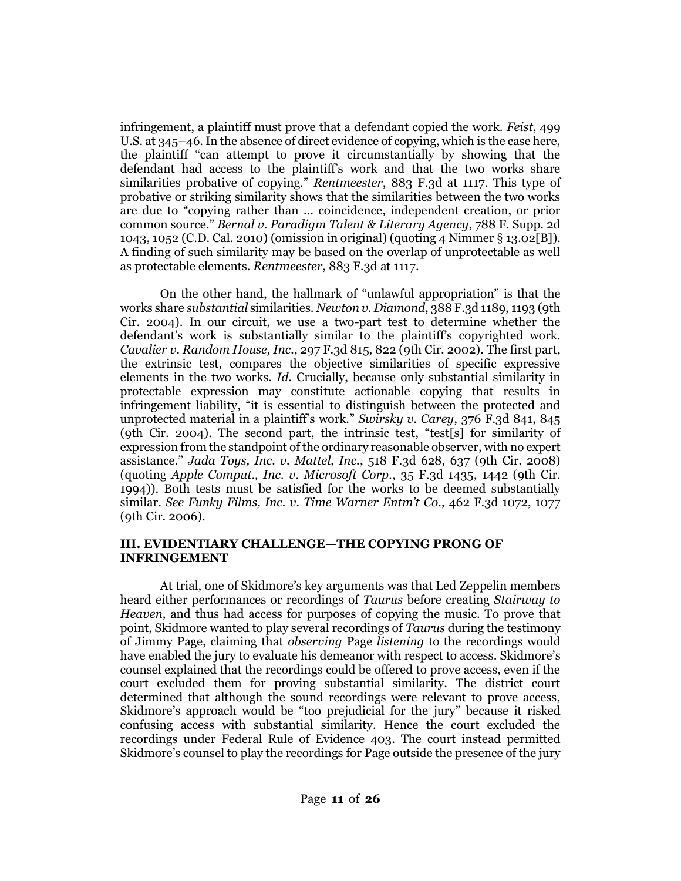infringement, a plaintiff must prove that a defendant copied the work. *Feist*[, 499](http://www.westlaw.com/Link/Document/FullText?findType=Y&serNum=1991060551&pubNum=0000780&originatingDoc=I03972340624a11ea901f977ab2e6b36d&refType=RP&fi=co_pp_sp_780_345&originationContext=document&vr=3.0&rs=cblt1.0&transitionType=DocumentItem&contextData=(sc.Search)#co_pp_sp_780_345)  [U.S. at 345](http://www.westlaw.com/Link/Document/FullText?findType=Y&serNum=1991060551&pubNum=0000780&originatingDoc=I03972340624a11ea901f977ab2e6b36d&refType=RP&fi=co_pp_sp_780_345&originationContext=document&vr=3.0&rs=cblt1.0&transitionType=DocumentItem&contextData=(sc.Search)#co_pp_sp_780_345)–46. In the absence of direct evidence of copying, which is the case here, the plaintiff "can attempt to prove it circumstantially by showing that the defendant had access to the plaintiff's work and that the two works share similarities probative of copying." *Rentmeester*[, 883 F.3d at 1117.](http://www.westlaw.com/Link/Document/FullText?findType=Y&serNum=2043897592&pubNum=0000506&originatingDoc=I03972340624a11ea901f977ab2e6b36d&refType=RP&fi=co_pp_sp_506_1117&originationContext=document&vr=3.0&rs=cblt1.0&transitionType=DocumentItem&contextData=(sc.Search)#co_pp_sp_506_1117) This type of probative or striking similarity shows that the similarities between the two works are due to "copying rather than ... coincidence, independent creation, or prior common source." *[Bernal v. Paradigm Talent & Literary Agency](http://www.westlaw.com/Link/Document/FullText?findType=Y&serNum=2024933693&pubNum=0004637&originatingDoc=I03972340624a11ea901f977ab2e6b36d&refType=RP&fi=co_pp_sp_4637_1052&originationContext=document&vr=3.0&rs=cblt1.0&transitionType=DocumentItem&contextData=(sc.Search)#co_pp_sp_4637_1052)*, 788 F. Supp. 2d [1043, 1052 \(C.D. Cal. 2010\)](http://www.westlaw.com/Link/Document/FullText?findType=Y&serNum=2024933693&pubNum=0004637&originatingDoc=I03972340624a11ea901f977ab2e6b36d&refType=RP&fi=co_pp_sp_4637_1052&originationContext=document&vr=3.0&rs=cblt1.0&transitionType=DocumentItem&contextData=(sc.Search)#co_pp_sp_4637_1052) (omission in original) (quoting 4 Nimmer § 13.02[B]). A finding of such similarity may be based on the overlap of unprotectable as well as protectable elements. *Rentmeester*[, 883 F.3d at 1117.](http://www.westlaw.com/Link/Document/FullText?findType=Y&serNum=2043897592&pubNum=0000506&originatingDoc=I03972340624a11ea901f977ab2e6b36d&refType=RP&fi=co_pp_sp_506_1117&originationContext=document&vr=3.0&rs=cblt1.0&transitionType=DocumentItem&contextData=(sc.Search)#co_pp_sp_506_1117)

On the other hand, the hallmark of "unlawful appropriation" is that the works share *substantial* similarities. *Newton v. Diamond*[, 388 F.3d 1189, 1193 \(9th](http://www.westlaw.com/Link/Document/FullText?findType=Y&serNum=2005466062&pubNum=0000506&originatingDoc=I03972340624a11ea901f977ab2e6b36d&refType=RP&fi=co_pp_sp_506_1193&originationContext=document&vr=3.0&rs=cblt1.0&transitionType=DocumentItem&contextData=(sc.Search)#co_pp_sp_506_1193)  [Cir. 2004\).](http://www.westlaw.com/Link/Document/FullText?findType=Y&serNum=2005466062&pubNum=0000506&originatingDoc=I03972340624a11ea901f977ab2e6b36d&refType=RP&fi=co_pp_sp_506_1193&originationContext=document&vr=3.0&rs=cblt1.0&transitionType=DocumentItem&contextData=(sc.Search)#co_pp_sp_506_1193) In our circuit, we use a two-part test to determine whether the defendant's work is substantially similar to the plaintiff's copyrighted work. *Cavalier v. Random House, Inc.*[, 297 F.3d 815, 822 \(9th Cir. 2002\).](http://www.westlaw.com/Link/Document/FullText?findType=Y&serNum=2002328823&pubNum=0000506&originatingDoc=I03972340624a11ea901f977ab2e6b36d&refType=RP&fi=co_pp_sp_506_822&originationContext=document&vr=3.0&rs=cblt1.0&transitionType=DocumentItem&contextData=(sc.Search)#co_pp_sp_506_822) The first part, the extrinsic test, compares the objective similarities of specific expressive elements in the two works. *[Id.](http://www.westlaw.com/Link/Document/FullText?findType=Y&serNum=2002328823&pubNum=0000506&originatingDoc=I03972340624a11ea901f977ab2e6b36d&refType=RP&originationContext=document&vr=3.0&rs=cblt1.0&transitionType=DocumentItem&contextData=(sc.Search))* Crucially, because only substantial similarity in protectable expression may constitute actionable copying that results in infringement liability, "it is essential to distinguish between the protected and unprotected material in a plaintiff's work." *Swirsky v. Carey*[, 376 F.3d 841, 845](http://www.westlaw.com/Link/Document/FullText?findType=Y&serNum=2004692521&pubNum=0000506&originatingDoc=I03972340624a11ea901f977ab2e6b36d&refType=RP&fi=co_pp_sp_506_845&originationContext=document&vr=3.0&rs=cblt1.0&transitionType=DocumentItem&contextData=(sc.Search)#co_pp_sp_506_845)  [\(9th Cir. 2004\).](http://www.westlaw.com/Link/Document/FullText?findType=Y&serNum=2004692521&pubNum=0000506&originatingDoc=I03972340624a11ea901f977ab2e6b36d&refType=RP&fi=co_pp_sp_506_845&originationContext=document&vr=3.0&rs=cblt1.0&transitionType=DocumentItem&contextData=(sc.Search)#co_pp_sp_506_845) The second part, the intrinsic test, "test[s] for similarity of expression from the standpoint of the ordinary reasonable observer, with no expert assistance." *Jada Toys, Inc. v. Mattel, Inc.*[, 518 F.3d 628, 637 \(9th Cir. 2008\)](http://www.westlaw.com/Link/Document/FullText?findType=Y&serNum=2015297940&pubNum=0000506&originatingDoc=I03972340624a11ea901f977ab2e6b36d&refType=RP&fi=co_pp_sp_506_637&originationContext=document&vr=3.0&rs=cblt1.0&transitionType=DocumentItem&contextData=(sc.Search)#co_pp_sp_506_637) (quoting *[Apple Comput., Inc. v. Microsoft Corp.](http://www.westlaw.com/Link/Document/FullText?findType=Y&serNum=1994188702&pubNum=0000506&originatingDoc=I03972340624a11ea901f977ab2e6b36d&refType=RP&fi=co_pp_sp_506_1442&originationContext=document&vr=3.0&rs=cblt1.0&transitionType=DocumentItem&contextData=(sc.Search)#co_pp_sp_506_1442)*, 35 F.3d 1435, 1442 (9th Cir. [1994\)\)](http://www.westlaw.com/Link/Document/FullText?findType=Y&serNum=1994188702&pubNum=0000506&originatingDoc=I03972340624a11ea901f977ab2e6b36d&refType=RP&fi=co_pp_sp_506_1442&originationContext=document&vr=3.0&rs=cblt1.0&transitionType=DocumentItem&contextData=(sc.Search)#co_pp_sp_506_1442). Both tests must be satisfied for the works to be deemed substantially similar. *See [Funky Films, Inc. v. Time Warner Entm't Co.](http://www.westlaw.com/Link/Document/FullText?findType=Y&serNum=2010199064&pubNum=0000506&originatingDoc=I03972340624a11ea901f977ab2e6b36d&refType=RP&fi=co_pp_sp_506_1077&originationContext=document&vr=3.0&rs=cblt1.0&transitionType=DocumentItem&contextData=(sc.Search)#co_pp_sp_506_1077)*, 462 F.3d 1072, 1077 [\(9th Cir. 2006\).](http://www.westlaw.com/Link/Document/FullText?findType=Y&serNum=2010199064&pubNum=0000506&originatingDoc=I03972340624a11ea901f977ab2e6b36d&refType=RP&fi=co_pp_sp_506_1077&originationContext=document&vr=3.0&rs=cblt1.0&transitionType=DocumentItem&contextData=(sc.Search)#co_pp_sp_506_1077)

#### **III. EVIDENTIARY CHALLENGE—THE COPYING PRONG OF INFRINGEMENT**

At trial, one of Skidmore's key arguments was that Led Zeppelin members heard either performances or recordings of *Taurus* before creating *Stairway to Heaven*, and thus had access for purposes of copying the music. To prove that point, Skidmore wanted to play several recordings of *Taurus* during the testimony of Jimmy Page, claiming that *observing* Page *listening* to the recordings would have enabled the jury to evaluate his demeanor with respect to access. Skidmore's counsel explained that the recordings could be offered to prove access, even if the court excluded them for proving substantial similarity. The district court determined that although the sound recordings were relevant to prove access, Skidmore's approach would be "too prejudicial for the jury" because it risked confusing access with substantial similarity. Hence the court excluded the recordings under [Federal Rule of Evidence 403.](http://www.westlaw.com/Link/Document/FullText?findType=L&pubNum=1000607&cite=USFRER403&originatingDoc=I03972340624a11ea901f977ab2e6b36d&refType=LQ&originationContext=document&vr=3.0&rs=cblt1.0&transitionType=DocumentItem&contextData=(sc.Search)) The court instead permitted Skidmore's counsel to play the recordings for Page outside the presence of the jury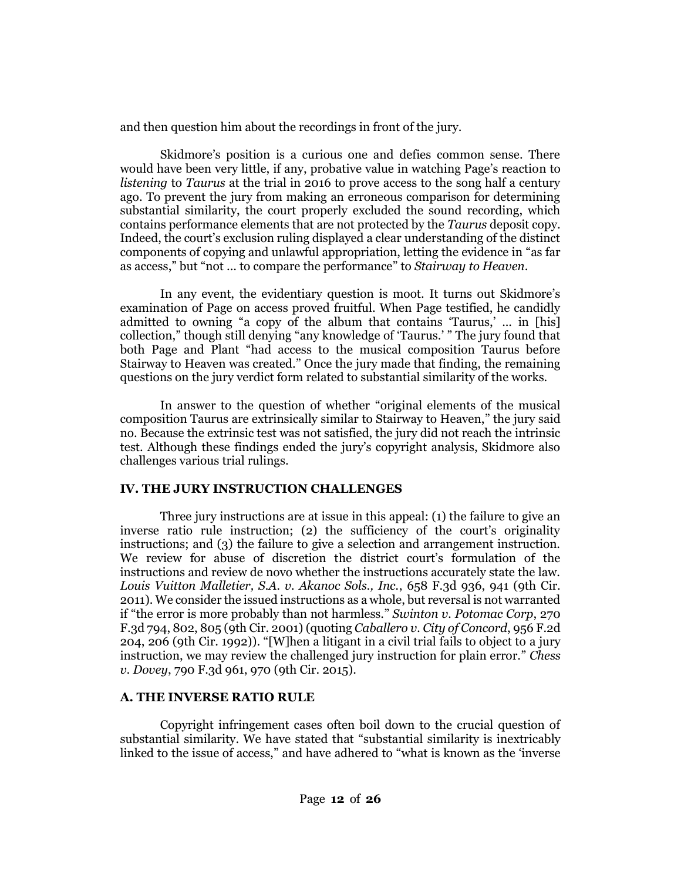and then question him about the recordings in front of the jury.

Skidmore's position is a curious one and defies common sense. There would have been very little, if any, probative value in watching Page's reaction to *listening* to *Taurus* at the trial in 2016 to prove access to the song half a century ago. To prevent the jury from making an erroneous comparison for determining substantial similarity, the court properly excluded the sound recording, which contains performance elements that are not protected by the *Taurus* deposit copy. Indeed, the court's exclusion ruling displayed a clear understanding of the distinct components of copying and unlawful appropriation, letting the evidence in "as far as access," but "not ... to compare the performance" to *Stairway to Heaven*.

In any event, the evidentiary question is moot. It turns out Skidmore's examination of Page on access proved fruitful. When Page testified, he candidly admitted to owning "a copy of the album that contains 'Taurus,' ... in [his] collection," though still denying "any knowledge of 'Taurus.' " The jury found that both Page and Plant "had access to the musical composition Taurus before Stairway to Heaven was created." Once the jury made that finding, the remaining questions on the jury verdict form related to substantial similarity of the works.

In answer to the question of whether "original elements of the musical composition Taurus are extrinsically similar to Stairway to Heaven," the jury said no. Because the extrinsic test was not satisfied, the jury did not reach the intrinsic test. Although these findings ended the jury's copyright analysis, Skidmore also challenges various trial rulings.

## **IV. THE JURY INSTRUCTION CHALLENGES**

Three jury instructions are at issue in this appeal: (1) the failure to give an inverse ratio rule instruction; (2) the sufficiency of the court's originality instructions; and (3) the failure to give a selection and arrangement instruction. We review for abuse of discretion the district court's formulation of the instructions and review de novo whether the instructions accurately state the law. *[Louis Vuitton Malletier, S.A. v. Akanoc Sols., Inc.](http://www.westlaw.com/Link/Document/FullText?findType=Y&serNum=2026134731&pubNum=0000506&originatingDoc=I03972340624a11ea901f977ab2e6b36d&refType=RP&fi=co_pp_sp_506_941&originationContext=document&vr=3.0&rs=cblt1.0&transitionType=DocumentItem&contextData=(sc.Search)#co_pp_sp_506_941)*, 658 F.3d 936, 941 (9th Cir. [2011\).](http://www.westlaw.com/Link/Document/FullText?findType=Y&serNum=2026134731&pubNum=0000506&originatingDoc=I03972340624a11ea901f977ab2e6b36d&refType=RP&fi=co_pp_sp_506_941&originationContext=document&vr=3.0&rs=cblt1.0&transitionType=DocumentItem&contextData=(sc.Search)#co_pp_sp_506_941) We consider the issued instructions as a whole, but reversal is not warranted if "the error is more probably than not harmless." *[Swinton v. Potomac Corp](http://www.westlaw.com/Link/Document/FullText?findType=Y&serNum=2001898982&pubNum=0000506&originatingDoc=I03972340624a11ea901f977ab2e6b36d&refType=RP&fi=co_pp_sp_506_802&originationContext=document&vr=3.0&rs=cblt1.0&transitionType=DocumentItem&contextData=(sc.Search)#co_pp_sp_506_802)*, 270 [F.3d 794, 802, 805 \(9th Cir. 2001\)](http://www.westlaw.com/Link/Document/FullText?findType=Y&serNum=2001898982&pubNum=0000506&originatingDoc=I03972340624a11ea901f977ab2e6b36d&refType=RP&fi=co_pp_sp_506_802&originationContext=document&vr=3.0&rs=cblt1.0&transitionType=DocumentItem&contextData=(sc.Search)#co_pp_sp_506_802) (quoting *[Caballero v. City of](http://www.westlaw.com/Link/Document/FullText?findType=Y&serNum=1992034943&pubNum=0000350&originatingDoc=I03972340624a11ea901f977ab2e6b36d&refType=RP&fi=co_pp_sp_350_206&originationContext=document&vr=3.0&rs=cblt1.0&transitionType=DocumentItem&contextData=(sc.Search)#co_pp_sp_350_206) Concord*, 956 F.2d [204, 206 \(9th Cir. 1992\)\)](http://www.westlaw.com/Link/Document/FullText?findType=Y&serNum=1992034943&pubNum=0000350&originatingDoc=I03972340624a11ea901f977ab2e6b36d&refType=RP&fi=co_pp_sp_350_206&originationContext=document&vr=3.0&rs=cblt1.0&transitionType=DocumentItem&contextData=(sc.Search)#co_pp_sp_350_206). "[W]hen a litigant in a civil trial fails to object to a jury instruction, we may review the challenged jury instruction for plain error." *[Chess](http://www.westlaw.com/Link/Document/FullText?findType=Y&serNum=2036540844&pubNum=0000506&originatingDoc=I03972340624a11ea901f977ab2e6b36d&refType=RP&fi=co_pp_sp_506_970&originationContext=document&vr=3.0&rs=cblt1.0&transitionType=DocumentItem&contextData=(sc.Search)#co_pp_sp_506_970)  v. Dovey*[, 790 F.3d 961, 970 \(9th Cir. 2015\).](http://www.westlaw.com/Link/Document/FullText?findType=Y&serNum=2036540844&pubNum=0000506&originatingDoc=I03972340624a11ea901f977ab2e6b36d&refType=RP&fi=co_pp_sp_506_970&originationContext=document&vr=3.0&rs=cblt1.0&transitionType=DocumentItem&contextData=(sc.Search)#co_pp_sp_506_970)

## **A. THE INVERSE RATIO RULE**

Copyright infringement cases often boil down to the crucial question of substantial similarity. We have stated that "substantial similarity is inextricably linked to the issue of access," and have adhered to "what is known as the 'inverse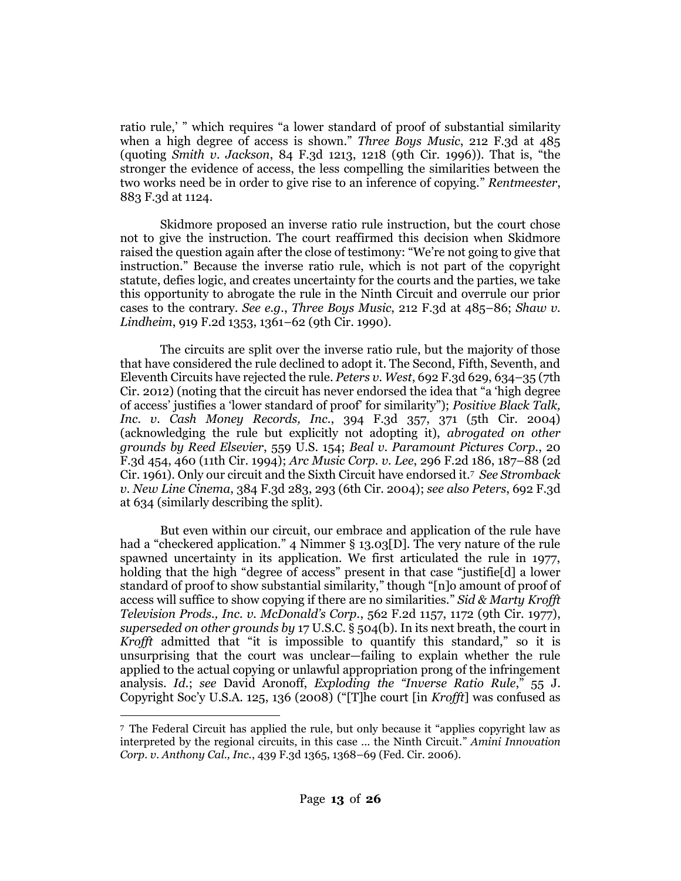ratio rule,' " which requires "a lower standard of proof of substantial similarity when a high degree of access is shown." *[Three Boys Music](http://www.westlaw.com/Link/Document/FullText?findType=Y&serNum=2000304625&pubNum=0000506&originatingDoc=I03972340624a11ea901f977ab2e6b36d&refType=RP&fi=co_pp_sp_506_485&originationContext=document&vr=3.0&rs=cblt1.0&transitionType=DocumentItem&contextData=(sc.Search)#co_pp_sp_506_485)*, 212 F.3d at 485 (quoting *Smith v. Jackson*[, 84 F.3d 1213, 1218 \(9th Cir. 1996\)\)](http://www.westlaw.com/Link/Document/FullText?findType=Y&serNum=1996128764&pubNum=0000506&originatingDoc=I03972340624a11ea901f977ab2e6b36d&refType=RP&fi=co_pp_sp_506_1218&originationContext=document&vr=3.0&rs=cblt1.0&transitionType=DocumentItem&contextData=(sc.Search)#co_pp_sp_506_1218). That is, "the stronger the evidence of access, the less compelling the similarities between the two works need be in order to give rise to an inference of copying." *[Rentmeester](http://www.westlaw.com/Link/Document/FullText?findType=Y&serNum=2043897592&pubNum=0000506&originatingDoc=I03972340624a11ea901f977ab2e6b36d&refType=RP&fi=co_pp_sp_506_1124&originationContext=document&vr=3.0&rs=cblt1.0&transitionType=DocumentItem&contextData=(sc.Search)#co_pp_sp_506_1124)*, [883 F.3d at 1124.](http://www.westlaw.com/Link/Document/FullText?findType=Y&serNum=2043897592&pubNum=0000506&originatingDoc=I03972340624a11ea901f977ab2e6b36d&refType=RP&fi=co_pp_sp_506_1124&originationContext=document&vr=3.0&rs=cblt1.0&transitionType=DocumentItem&contextData=(sc.Search)#co_pp_sp_506_1124)

Skidmore proposed an inverse ratio rule instruction, but the court chose not to give the instruction. The court reaffirmed this decision when Skidmore raised the question again after the close of testimony: "We're not going to give that instruction." Because the inverse ratio rule, which is not part of the copyright statute, defies logic, and creates uncertainty for the courts and the parties, we take this opportunity to abrogate the rule in the Ninth Circuit and overrule our prior cases to the contrary. *See e.g.*, *[Three Boys Music](http://www.westlaw.com/Link/Document/FullText?findType=Y&serNum=2000304625&pubNum=0000506&originatingDoc=I03972340624a11ea901f977ab2e6b36d&refType=RP&fi=co_pp_sp_506_485&originationContext=document&vr=3.0&rs=cblt1.0&transitionType=DocumentItem&contextData=(sc.Search)#co_pp_sp_506_485)*, 212 F.3d at 485–86; *[Shaw v.](http://www.westlaw.com/Link/Document/FullText?findType=Y&serNum=1990166741&pubNum=0000350&originatingDoc=I03972340624a11ea901f977ab2e6b36d&refType=RP&fi=co_pp_sp_350_1361&originationContext=document&vr=3.0&rs=cblt1.0&transitionType=DocumentItem&contextData=(sc.Search)#co_pp_sp_350_1361)  Lindheim*[, 919 F.2d 1353, 1361](http://www.westlaw.com/Link/Document/FullText?findType=Y&serNum=1990166741&pubNum=0000350&originatingDoc=I03972340624a11ea901f977ab2e6b36d&refType=RP&fi=co_pp_sp_350_1361&originationContext=document&vr=3.0&rs=cblt1.0&transitionType=DocumentItem&contextData=(sc.Search)#co_pp_sp_350_1361)–62 (9th Cir. 1990).

The circuits are split over the inverse ratio rule, but the majority of those that have considered the rule declined to adopt it. The Second, Fifth, Seventh, and Eleventh Circuits have rejected the rule. *Peters v. West*[, 692 F.3d 629, 634](http://www.westlaw.com/Link/Document/FullText?findType=Y&serNum=2028435200&pubNum=0000506&originatingDoc=I03972340624a11ea901f977ab2e6b36d&refType=RP&fi=co_pp_sp_506_634&originationContext=document&vr=3.0&rs=cblt1.0&transitionType=DocumentItem&contextData=(sc.Search)#co_pp_sp_506_634)–35 (7th [Cir. 2012\)](http://www.westlaw.com/Link/Document/FullText?findType=Y&serNum=2028435200&pubNum=0000506&originatingDoc=I03972340624a11ea901f977ab2e6b36d&refType=RP&fi=co_pp_sp_506_634&originationContext=document&vr=3.0&rs=cblt1.0&transitionType=DocumentItem&contextData=(sc.Search)#co_pp_sp_506_634) (noting that the circuit has never endorsed the idea that "a 'high degree of access' justifies a 'lower standard of proof' for similarity"); *[Positive Black Talk,](http://www.westlaw.com/Link/Document/FullText?findType=Y&serNum=2005789330&pubNum=0000506&originatingDoc=I03972340624a11ea901f977ab2e6b36d&refType=RP&fi=co_pp_sp_506_371&originationContext=document&vr=3.0&rs=cblt1.0&transitionType=DocumentItem&contextData=(sc.Search)#co_pp_sp_506_371)  Inc. v. Cash Money Records, Inc.*[, 394 F.3d 357, 371 \(5th Cir. 2004\)](http://www.westlaw.com/Link/Document/FullText?findType=Y&serNum=2005789330&pubNum=0000506&originatingDoc=I03972340624a11ea901f977ab2e6b36d&refType=RP&fi=co_pp_sp_506_371&originationContext=document&vr=3.0&rs=cblt1.0&transitionType=DocumentItem&contextData=(sc.Search)#co_pp_sp_506_371) (acknowledging the rule but explicitly not adopting it), *abrogated on other grounds by Reed Elsevier*[, 559 U.S. 154;](http://www.westlaw.com/Link/Document/FullText?findType=Y&serNum=2021448087&pubNum=0000708&originatingDoc=I03972340624a11ea901f977ab2e6b36d&refType=RP&originationContext=document&vr=3.0&rs=cblt1.0&transitionType=DocumentItem&contextData=(sc.Search)) *[Beal v. Paramount Pictures Corp.](http://www.westlaw.com/Link/Document/FullText?findType=Y&serNum=1994093437&pubNum=0000506&originatingDoc=I03972340624a11ea901f977ab2e6b36d&refType=RP&fi=co_pp_sp_506_460&originationContext=document&vr=3.0&rs=cblt1.0&transitionType=DocumentItem&contextData=(sc.Search)#co_pp_sp_506_460)*, 20 [F.3d 454, 460 \(11th Cir. 1994\);](http://www.westlaw.com/Link/Document/FullText?findType=Y&serNum=1994093437&pubNum=0000506&originatingDoc=I03972340624a11ea901f977ab2e6b36d&refType=RP&fi=co_pp_sp_506_460&originationContext=document&vr=3.0&rs=cblt1.0&transitionType=DocumentItem&contextData=(sc.Search)#co_pp_sp_506_460) *[Arc Music Corp. v. Lee](http://www.westlaw.com/Link/Document/FullText?findType=Y&serNum=1961114957&pubNum=0000350&originatingDoc=I03972340624a11ea901f977ab2e6b36d&refType=RP&fi=co_pp_sp_350_187&originationContext=document&vr=3.0&rs=cblt1.0&transitionType=DocumentItem&contextData=(sc.Search)#co_pp_sp_350_187)*, 296 F.2d 186, 187–88 (2d [Cir. 1961\).](http://www.westlaw.com/Link/Document/FullText?findType=Y&serNum=1961114957&pubNum=0000350&originatingDoc=I03972340624a11ea901f977ab2e6b36d&refType=RP&fi=co_pp_sp_350_187&originationContext=document&vr=3.0&rs=cblt1.0&transitionType=DocumentItem&contextData=(sc.Search)#co_pp_sp_350_187) Only our circuit and the Sixth Circuit have endorsed it.<sup>7</sup> *See [Stromback](http://www.westlaw.com/Link/Document/FullText?findType=Y&serNum=2005073264&pubNum=0000506&originatingDoc=I03972340624a11ea901f977ab2e6b36d&refType=RP&fi=co_pp_sp_506_293&originationContext=document&vr=3.0&rs=cblt1.0&transitionType=DocumentItem&contextData=(sc.Search)#co_pp_sp_506_293)  v. New Line Cinema*[, 384 F.3d 283, 293 \(6th Cir. 2004\);](http://www.westlaw.com/Link/Document/FullText?findType=Y&serNum=2005073264&pubNum=0000506&originatingDoc=I03972340624a11ea901f977ab2e6b36d&refType=RP&fi=co_pp_sp_506_293&originationContext=document&vr=3.0&rs=cblt1.0&transitionType=DocumentItem&contextData=(sc.Search)#co_pp_sp_506_293) *see also Peters*[, 692 F.3d](http://www.westlaw.com/Link/Document/FullText?findType=Y&serNum=2028435200&pubNum=0000506&originatingDoc=I03972340624a11ea901f977ab2e6b36d&refType=RP&fi=co_pp_sp_506_634&originationContext=document&vr=3.0&rs=cblt1.0&transitionType=DocumentItem&contextData=(sc.Search)#co_pp_sp_506_634)  [at 634](http://www.westlaw.com/Link/Document/FullText?findType=Y&serNum=2028435200&pubNum=0000506&originatingDoc=I03972340624a11ea901f977ab2e6b36d&refType=RP&fi=co_pp_sp_506_634&originationContext=document&vr=3.0&rs=cblt1.0&transitionType=DocumentItem&contextData=(sc.Search)#co_pp_sp_506_634) (similarly describing the split).

But even within our circuit, our embrace and application of the rule have had a "checkered application." 4 Nimmer § 13.03[D]. The very nature of the rule spawned uncertainty in its application. We first articulated the rule in 1977, holding that the high "degree of access" present in that case "justifie[d] a lower standard of proof to show substantial similarity," though "[n]o amount of proof of access will suffice to show copying if there are no similarities." *[Sid & Marty Krofft](http://www.westlaw.com/Link/Document/FullText?findType=Y&serNum=1977123881&pubNum=0000350&originatingDoc=I03972340624a11ea901f977ab2e6b36d&refType=RP&fi=co_pp_sp_350_1172&originationContext=document&vr=3.0&rs=cblt1.0&transitionType=DocumentItem&contextData=(sc.Search)#co_pp_sp_350_1172)  [Television Prods., Inc. v. McDonald's Corp.](http://www.westlaw.com/Link/Document/FullText?findType=Y&serNum=1977123881&pubNum=0000350&originatingDoc=I03972340624a11ea901f977ab2e6b36d&refType=RP&fi=co_pp_sp_350_1172&originationContext=document&vr=3.0&rs=cblt1.0&transitionType=DocumentItem&contextData=(sc.Search)#co_pp_sp_350_1172)*, 562 F.2d 1157, 1172 (9th Cir. 1977), *superseded on other grounds by* [17 U.S.C. § 504\(b\).](http://www.westlaw.com/Link/Document/FullText?findType=L&pubNum=1000546&cite=17USCAS504&originatingDoc=I03972340624a11ea901f977ab2e6b36d&refType=RB&originationContext=document&vr=3.0&rs=cblt1.0&transitionType=DocumentItem&contextData=(sc.Search)#co_pp_a83b000018c76) In its next breath, the court in *[Krofft](http://www.westlaw.com/Link/Document/FullText?findType=Y&serNum=1977123881&pubNum=0000350&originatingDoc=I03972340624a11ea901f977ab2e6b36d&refType=RP&originationContext=document&vr=3.0&rs=cblt1.0&transitionType=DocumentItem&contextData=(sc.Search))* admitted that "it is impossible to quantify this standard," so it is unsurprising that the court was unclear—failing to explain whether the rule applied to the actual copying or unlawful appropriation prong of the infringement analysis. *[Id.](http://www.westlaw.com/Link/Document/FullText?findType=Y&serNum=1977123881&pubNum=0000350&originatingDoc=I03972340624a11ea901f977ab2e6b36d&refType=RP&originationContext=document&vr=3.0&rs=cblt1.0&transitionType=DocumentItem&contextData=(sc.Search))*; *see* David Aronoff, *[Exploding the "Inverse Ratio Rule](http://www.westlaw.com/Link/Document/FullText?findType=Y&serNum=0337550455&pubNum=0001170&originatingDoc=I03972340624a11ea901f977ab2e6b36d&refType=LR&fi=co_pp_sp_1170_136&originationContext=document&vr=3.0&rs=cblt1.0&transitionType=DocumentItem&contextData=(sc.Search)#co_pp_sp_1170_136)*," 55 J. [Copyright Soc'y U.S.A. 125, 136 \(2008\)](http://www.westlaw.com/Link/Document/FullText?findType=Y&serNum=0337550455&pubNum=0001170&originatingDoc=I03972340624a11ea901f977ab2e6b36d&refType=LR&fi=co_pp_sp_1170_136&originationContext=document&vr=3.0&rs=cblt1.0&transitionType=DocumentItem&contextData=(sc.Search)#co_pp_sp_1170_136) ("[T]he court [in *[Krofft](http://www.westlaw.com/Link/Document/FullText?findType=Y&serNum=1977123881&pubNum=0000350&originatingDoc=I03972340624a11ea901f977ab2e6b36d&refType=RP&originationContext=document&vr=3.0&rs=cblt1.0&transitionType=DocumentItem&contextData=(sc.Search))*] was confused as

<sup>7</sup> The Federal Circuit has applied the rule, but only because it "applies copyright law as interpreted by the regional circuits, in this case ... the Ninth Circuit." *[Amini Innovation](http://www.westlaw.com/Link/Document/FullText?findType=Y&serNum=2008583692&pubNum=0000506&originatingDoc=I03972340624a11ea901f977ab2e6b36d&refType=RP&fi=co_pp_sp_506_1368&originationContext=document&vr=3.0&rs=cblt1.0&transitionType=DocumentItem&contextData=(sc.Search)#co_pp_sp_506_1368)  [Corp. v. Anthony Cal., Inc.](http://www.westlaw.com/Link/Document/FullText?findType=Y&serNum=2008583692&pubNum=0000506&originatingDoc=I03972340624a11ea901f977ab2e6b36d&refType=RP&fi=co_pp_sp_506_1368&originationContext=document&vr=3.0&rs=cblt1.0&transitionType=DocumentItem&contextData=(sc.Search)#co_pp_sp_506_1368)*, 439 F.3d 1365, 1368–69 (Fed. Cir. 2006).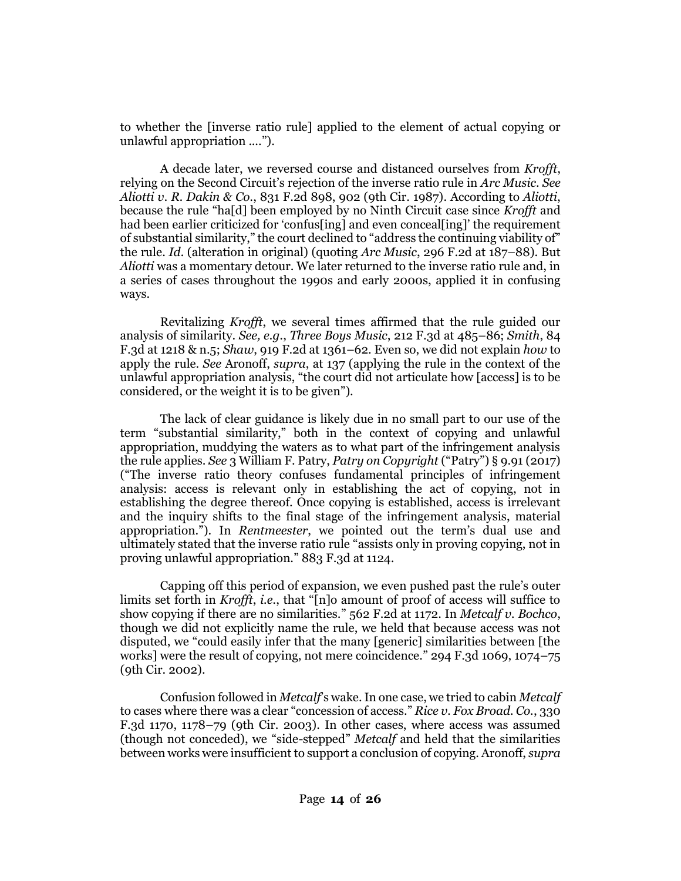to whether the [inverse ratio rule] applied to the element of actual copying or unlawful appropriation ....").

A decade later, we reversed course and distanced ourselves from *[Krofft](http://www.westlaw.com/Link/Document/FullText?findType=Y&serNum=1977123881&pubNum=0000350&originatingDoc=I03972340624a11ea901f977ab2e6b36d&refType=RP&originationContext=document&vr=3.0&rs=cblt1.0&transitionType=DocumentItem&contextData=(sc.Search))*, relying on the Second Circuit's rejection of the inverse ratio rule in *[Arc Music](http://www.westlaw.com/Link/Document/FullText?findType=Y&serNum=1961114957&pubNum=0000350&originatingDoc=I03972340624a11ea901f977ab2e6b36d&refType=RP&originationContext=document&vr=3.0&rs=cblt1.0&transitionType=DocumentItem&contextData=(sc.Search))*. *See Aliotti v. R. Dakin & Co.*[, 831 F.2d 898, 902 \(9th Cir. 1987\).](http://www.westlaw.com/Link/Document/FullText?findType=Y&serNum=1987136095&pubNum=0000350&originatingDoc=I03972340624a11ea901f977ab2e6b36d&refType=RP&fi=co_pp_sp_350_902&originationContext=document&vr=3.0&rs=cblt1.0&transitionType=DocumentItem&contextData=(sc.Search)#co_pp_sp_350_902) According to *[Aliotti](http://www.westlaw.com/Link/Document/FullText?findType=Y&serNum=1987136095&pubNum=0000350&originatingDoc=I03972340624a11ea901f977ab2e6b36d&refType=RP&originationContext=document&vr=3.0&rs=cblt1.0&transitionType=DocumentItem&contextData=(sc.Search))*, because the rule "ha[d] been employed by no Ninth Circuit case since *[Krofft](http://www.westlaw.com/Link/Document/FullText?findType=Y&serNum=1977123881&pubNum=0000350&originatingDoc=I03972340624a11ea901f977ab2e6b36d&refType=RP&originationContext=document&vr=3.0&rs=cblt1.0&transitionType=DocumentItem&contextData=(sc.Search))* and had been earlier criticized for 'confus[ing] and even conceal[ing]' the requirement of substantial similarity," the court declined to "address the continuing viability of" the rule. *[Id.](http://www.westlaw.com/Link/Document/FullText?findType=Y&serNum=1987136095&pubNum=0000350&originatingDoc=I03972340624a11ea901f977ab2e6b36d&refType=RP&originationContext=document&vr=3.0&rs=cblt1.0&transitionType=DocumentItem&contextData=(sc.Search))* (alteration in original) (quoting *Arc Music*[, 296 F.2d at 187](http://www.westlaw.com/Link/Document/FullText?findType=Y&serNum=1961114957&pubNum=0000350&originatingDoc=I03972340624a11ea901f977ab2e6b36d&refType=RP&fi=co_pp_sp_350_187&originationContext=document&vr=3.0&rs=cblt1.0&transitionType=DocumentItem&contextData=(sc.Search)#co_pp_sp_350_187)–88). But *[Aliotti](http://www.westlaw.com/Link/Document/FullText?findType=Y&serNum=1987136095&pubNum=0000350&originatingDoc=I03972340624a11ea901f977ab2e6b36d&refType=RP&originationContext=document&vr=3.0&rs=cblt1.0&transitionType=DocumentItem&contextData=(sc.Search))* was a momentary detour. We later returned to the inverse ratio rule and, in a series of cases throughout the 1990s and early 2000s, applied it in confusing ways.

Revitalizing *[Krofft](http://www.westlaw.com/Link/Document/FullText?findType=Y&serNum=1977123881&pubNum=0000350&originatingDoc=I03972340624a11ea901f977ab2e6b36d&refType=RP&originationContext=document&vr=3.0&rs=cblt1.0&transitionType=DocumentItem&contextData=(sc.Search))*, we several times affirmed that the rule guided our analysis of similarity. *See, e.g.*, *[Three Boys Music](http://www.westlaw.com/Link/Document/FullText?findType=Y&serNum=2000304625&pubNum=0000506&originatingDoc=I03972340624a11ea901f977ab2e6b36d&refType=RP&fi=co_pp_sp_506_485&originationContext=document&vr=3.0&rs=cblt1.0&transitionType=DocumentItem&contextData=(sc.Search)#co_pp_sp_506_485)*, 212 F.3d at 485–86; *[Smith](http://www.westlaw.com/Link/Document/FullText?findType=Y&serNum=1996128764&pubNum=0000506&originatingDoc=I03972340624a11ea901f977ab2e6b36d&refType=RP&fi=co_pp_sp_506_1218&originationContext=document&vr=3.0&rs=cblt1.0&transitionType=DocumentItem&contextData=(sc.Search)#co_pp_sp_506_1218)*, 84 [F.3d at 1218 & n.5;](http://www.westlaw.com/Link/Document/FullText?findType=Y&serNum=1996128764&pubNum=0000506&originatingDoc=I03972340624a11ea901f977ab2e6b36d&refType=RP&fi=co_pp_sp_506_1218&originationContext=document&vr=3.0&rs=cblt1.0&transitionType=DocumentItem&contextData=(sc.Search)#co_pp_sp_506_1218) *Shaw*[, 919 F.2d at 1361](http://www.westlaw.com/Link/Document/FullText?findType=Y&serNum=1990166741&pubNum=0000350&originatingDoc=I03972340624a11ea901f977ab2e6b36d&refType=RP&fi=co_pp_sp_350_1361&originationContext=document&vr=3.0&rs=cblt1.0&transitionType=DocumentItem&contextData=(sc.Search)#co_pp_sp_350_1361)–62. Even so, we did not explain *how* to apply the rule. *See* Aronoff, *supra*, at 137 (applying the rule in the context of the unlawful appropriation analysis, "the court did not articulate how [access] is to be considered, or the weight it is to be given").

The lack of clear guidance is likely due in no small part to our use of the term "substantial similarity," both in the context of copying and unlawful appropriation, muddying the waters as to what part of the infringement analysis the rule applies. *See* 3 William F. Patry, *Patry on Copyright* ("Patry") § 9.91 (2017) ("The inverse ratio theory confuses fundamental principles of infringement analysis: access is relevant only in establishing the act of copying, not in establishing the degree thereof. Once copying is established, access is irrelevant and the inquiry shifts to the final stage of the infringement analysis, material appropriation."). In *[Rentmeester](http://www.westlaw.com/Link/Document/FullText?findType=Y&serNum=2043897592&pubNum=0000506&originatingDoc=I03972340624a11ea901f977ab2e6b36d&refType=RP&originationContext=document&vr=3.0&rs=cblt1.0&transitionType=DocumentItem&contextData=(sc.Search))*, we pointed out the term's dual use and ultimately stated that the inverse ratio rule "assists only in proving copying, not in proving unlawful appropriation." [883 F.3d at 1124.](http://www.westlaw.com/Link/Document/FullText?findType=Y&serNum=2043897592&pubNum=0000506&originatingDoc=I03972340624a11ea901f977ab2e6b36d&refType=RP&fi=co_pp_sp_506_1124&originationContext=document&vr=3.0&rs=cblt1.0&transitionType=DocumentItem&contextData=(sc.Search)#co_pp_sp_506_1124)

Capping off this period of expansion, we even pushed past the rule's outer limits set forth in *[Krofft](http://www.westlaw.com/Link/Document/FullText?findType=Y&serNum=1977123881&pubNum=0000350&originatingDoc=I03972340624a11ea901f977ab2e6b36d&refType=RP&originationContext=document&vr=3.0&rs=cblt1.0&transitionType=DocumentItem&contextData=(sc.Search))*, *i.e.*, that "[n]o amount of proof of access will suffice to show copying if there are no similarities." [562 F.2d at 1172.](http://www.westlaw.com/Link/Document/FullText?findType=Y&serNum=1977123881&pubNum=0000350&originatingDoc=I03972340624a11ea901f977ab2e6b36d&refType=RP&fi=co_pp_sp_350_1172&originationContext=document&vr=3.0&rs=cblt1.0&transitionType=DocumentItem&contextData=(sc.Search)#co_pp_sp_350_1172) In *[Metcalf v. Bochco](http://www.westlaw.com/Link/Document/FullText?findType=Y&serNum=2002365597&pubNum=0000506&originatingDoc=I03972340624a11ea901f977ab2e6b36d&refType=RP&originationContext=document&vr=3.0&rs=cblt1.0&transitionType=DocumentItem&contextData=(sc.Search))*, though we did not explicitly name the rule, we held that because access was not disputed, we "could easily infer that the many [generic] similarities between [the works] were the result of copying, not mere coincidence." [294 F.3d 1069, 1074](http://www.westlaw.com/Link/Document/FullText?findType=Y&serNum=2002365597&pubNum=0000506&originatingDoc=I03972340624a11ea901f977ab2e6b36d&refType=RP&fi=co_pp_sp_506_1074&originationContext=document&vr=3.0&rs=cblt1.0&transitionType=DocumentItem&contextData=(sc.Search)#co_pp_sp_506_1074)–75 [\(9th Cir. 2002\).](http://www.westlaw.com/Link/Document/FullText?findType=Y&serNum=2002365597&pubNum=0000506&originatingDoc=I03972340624a11ea901f977ab2e6b36d&refType=RP&fi=co_pp_sp_506_1074&originationContext=document&vr=3.0&rs=cblt1.0&transitionType=DocumentItem&contextData=(sc.Search)#co_pp_sp_506_1074)

Confusion followed in *[Metcalf](http://www.westlaw.com/Link/Document/FullText?findType=Y&serNum=2002365597&pubNum=0000506&originatingDoc=I03972340624a11ea901f977ab2e6b36d&refType=RP&originationContext=document&vr=3.0&rs=cblt1.0&transitionType=DocumentItem&contextData=(sc.Search))*'s wake. In one case, we tried to cabin *[Metcalf](http://www.westlaw.com/Link/Document/FullText?findType=Y&serNum=2002365597&pubNum=0000506&originatingDoc=I03972340624a11ea901f977ab2e6b36d&refType=RP&originationContext=document&vr=3.0&rs=cblt1.0&transitionType=DocumentItem&contextData=(sc.Search))* to cases where there was a clear "concession of access." *[Rice v. Fox Broad. Co.](http://www.westlaw.com/Link/Document/FullText?findType=Y&serNum=2003385009&pubNum=0000506&originatingDoc=I03972340624a11ea901f977ab2e6b36d&refType=RP&fi=co_pp_sp_506_1178&originationContext=document&vr=3.0&rs=cblt1.0&transitionType=DocumentItem&contextData=(sc.Search)#co_pp_sp_506_1178)*, 330 F.3d 1170, 1178–[79 \(9th Cir. 2003\).](http://www.westlaw.com/Link/Document/FullText?findType=Y&serNum=2003385009&pubNum=0000506&originatingDoc=I03972340624a11ea901f977ab2e6b36d&refType=RP&fi=co_pp_sp_506_1178&originationContext=document&vr=3.0&rs=cblt1.0&transitionType=DocumentItem&contextData=(sc.Search)#co_pp_sp_506_1178) In other cases, where access was assumed (though not conceded), we "side-stepped" *[Metcalf](http://www.westlaw.com/Link/Document/FullText?findType=Y&serNum=2002365597&pubNum=0000506&originatingDoc=I03972340624a11ea901f977ab2e6b36d&refType=RP&originationContext=document&vr=3.0&rs=cblt1.0&transitionType=DocumentItem&contextData=(sc.Search))* and held that the similarities between works were insufficient to support a conclusion of copying. Aronoff, *supra*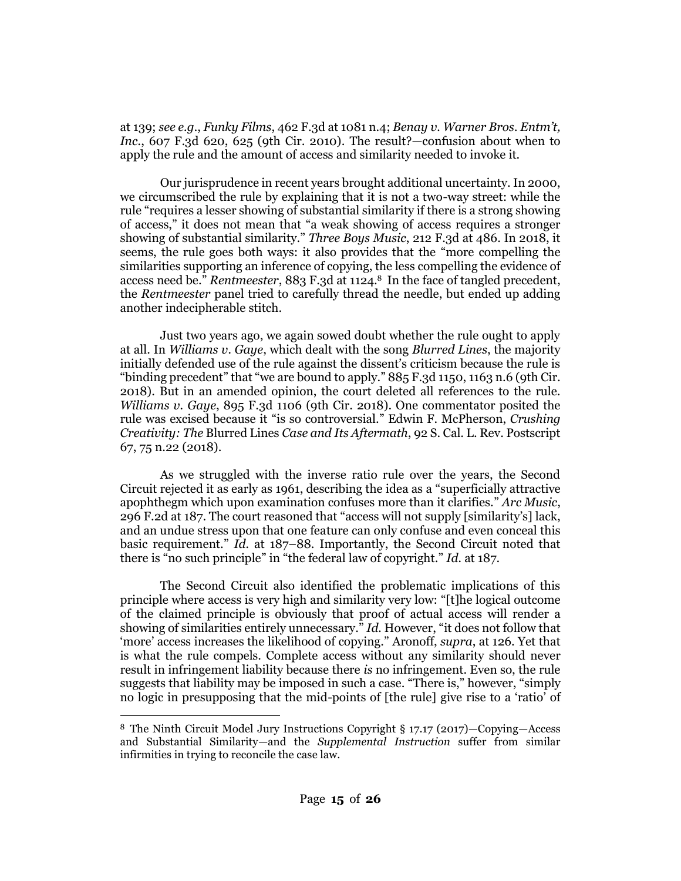at 139; *see e.g.*, *Funky Films*[, 462 F.3d at 1081 n.4;](http://www.westlaw.com/Link/Document/FullText?findType=Y&serNum=2010199064&pubNum=0000506&originatingDoc=I03972340624a11ea901f977ab2e6b36d&refType=RP&fi=co_pp_sp_506_1081&originationContext=document&vr=3.0&rs=cblt1.0&transitionType=DocumentItem&contextData=(sc.Search)#co_pp_sp_506_1081) *Benay v. [Warner Bros. Entm't,](http://www.westlaw.com/Link/Document/FullText?findType=Y&serNum=2022264635&pubNum=0000506&originatingDoc=I03972340624a11ea901f977ab2e6b36d&refType=RP&fi=co_pp_sp_506_625&originationContext=document&vr=3.0&rs=cblt1.0&transitionType=DocumentItem&contextData=(sc.Search)#co_pp_sp_506_625)  Inc.*[, 607 F.3d 620, 625 \(9th Cir. 2010\).](http://www.westlaw.com/Link/Document/FullText?findType=Y&serNum=2022264635&pubNum=0000506&originatingDoc=I03972340624a11ea901f977ab2e6b36d&refType=RP&fi=co_pp_sp_506_625&originationContext=document&vr=3.0&rs=cblt1.0&transitionType=DocumentItem&contextData=(sc.Search)#co_pp_sp_506_625) The result?—confusion about when to apply the rule and the amount of access and similarity needed to invoke it.

Our jurisprudence in recent years brought additional uncertainty. In 2000, we circumscribed the rule by explaining that it is not a two-way street: while the rule "requires a lesser showing of substantial similarity if there is a strong showing of access," it does not mean that "a weak showing of access requires a stronger showing of substantial similarity." *[Three Boys Music](http://www.westlaw.com/Link/Document/FullText?findType=Y&serNum=2000304625&pubNum=0000506&originatingDoc=I03972340624a11ea901f977ab2e6b36d&refType=RP&fi=co_pp_sp_506_486&originationContext=document&vr=3.0&rs=cblt1.0&transitionType=DocumentItem&contextData=(sc.Search)#co_pp_sp_506_486)*, 212 F.3d at 486. In 2018, it seems, the rule goes both ways: it also provides that the "more compelling the similarities supporting an inference of copying, the less compelling the evidence of access need be." *Rentmeester*[, 883 F.3d at 1124.](http://www.westlaw.com/Link/Document/FullText?findType=Y&serNum=2043897592&pubNum=0000506&originatingDoc=I03972340624a11ea901f977ab2e6b36d&refType=RP&fi=co_pp_sp_506_1124&originationContext=document&vr=3.0&rs=cblt1.0&transitionType=DocumentItem&contextData=(sc.Search)#co_pp_sp_506_1124) <sup>8</sup> In the face of tangled precedent, the *[Rentmeester](http://www.westlaw.com/Link/Document/FullText?findType=Y&serNum=2043897592&pubNum=0000506&originatingDoc=I03972340624a11ea901f977ab2e6b36d&refType=RP&originationContext=document&vr=3.0&rs=cblt1.0&transitionType=DocumentItem&contextData=(sc.Search))* panel tried to carefully thread the needle, but ended up adding another indecipherable stitch.

Just two years ago, we again sowed doubt whether the rule ought to apply at all. In *[Williams v. Gaye](http://www.westlaw.com/Link/Document/FullText?findType=Y&serNum=2044097572&pubNum=0000506&originatingDoc=I03972340624a11ea901f977ab2e6b36d&refType=RP&originationContext=document&vr=3.0&rs=cblt1.0&transitionType=DocumentItem&contextData=(sc.Search))*, which dealt with the song *Blurred Lines*, the majority initially defended use of the rule against the dissent's criticism because the rule is "binding precedent" that "we are bound to apply." [885 F.3d 1150, 1163 n.6 \(9th Cir.](http://www.westlaw.com/Link/Document/FullText?findType=Y&serNum=2044097572&pubNum=0000506&originatingDoc=I03972340624a11ea901f977ab2e6b36d&refType=RP&fi=co_pp_sp_506_1163&originationContext=document&vr=3.0&rs=cblt1.0&transitionType=DocumentItem&contextData=(sc.Search)#co_pp_sp_506_1163)  [2018\).](http://www.westlaw.com/Link/Document/FullText?findType=Y&serNum=2044097572&pubNum=0000506&originatingDoc=I03972340624a11ea901f977ab2e6b36d&refType=RP&fi=co_pp_sp_506_1163&originationContext=document&vr=3.0&rs=cblt1.0&transitionType=DocumentItem&contextData=(sc.Search)#co_pp_sp_506_1163) But in an amended opinion, the court deleted all references to the rule. *Williams v. Gaye*[, 895 F.3d 1106 \(9th Cir. 2018\).](http://www.westlaw.com/Link/Document/FullText?findType=Y&serNum=2044961574&pubNum=0000506&originatingDoc=I03972340624a11ea901f977ab2e6b36d&refType=RP&originationContext=document&vr=3.0&rs=cblt1.0&transitionType=DocumentItem&contextData=(sc.Search)) One commentator posited the rule was excised because it "is so controversial." Edwin F. McPherson, *[Crushing](http://www.westlaw.com/Link/Document/FullText?findType=Y&serNum=0477983260&pubNum=0220780&originatingDoc=I03972340624a11ea901f977ab2e6b36d&refType=LR&fi=co_pp_sp_220780_75&originationContext=document&vr=3.0&rs=cblt1.0&transitionType=DocumentItem&contextData=(sc.Search)#co_pp_sp_220780_75) Creativity: The* Blurred Lines *Case and Its Aftermath*[, 92 S. Cal. L. Rev. Postscript](http://www.westlaw.com/Link/Document/FullText?findType=Y&serNum=0477983260&pubNum=0220780&originatingDoc=I03972340624a11ea901f977ab2e6b36d&refType=LR&fi=co_pp_sp_220780_75&originationContext=document&vr=3.0&rs=cblt1.0&transitionType=DocumentItem&contextData=(sc.Search)#co_pp_sp_220780_75)  [67, 75 n.22 \(2018\).](http://www.westlaw.com/Link/Document/FullText?findType=Y&serNum=0477983260&pubNum=0220780&originatingDoc=I03972340624a11ea901f977ab2e6b36d&refType=LR&fi=co_pp_sp_220780_75&originationContext=document&vr=3.0&rs=cblt1.0&transitionType=DocumentItem&contextData=(sc.Search)#co_pp_sp_220780_75)

As we struggled with the inverse ratio rule over the years, the Second Circuit rejected it as early as 1961, describing the idea as a "superficially attractive apophthegm which upon examination confuses more than it clarifies." *[Arc Music](http://www.westlaw.com/Link/Document/FullText?findType=Y&serNum=1961114957&pubNum=0000350&originatingDoc=I03972340624a11ea901f977ab2e6b36d&refType=RP&fi=co_pp_sp_350_187&originationContext=document&vr=3.0&rs=cblt1.0&transitionType=DocumentItem&contextData=(sc.Search)#co_pp_sp_350_187)*, [296 F.2d at 187.](http://www.westlaw.com/Link/Document/FullText?findType=Y&serNum=1961114957&pubNum=0000350&originatingDoc=I03972340624a11ea901f977ab2e6b36d&refType=RP&fi=co_pp_sp_350_187&originationContext=document&vr=3.0&rs=cblt1.0&transitionType=DocumentItem&contextData=(sc.Search)#co_pp_sp_350_187) The court reasoned that "access will not supply [similarity's] lack, and an undue stress upon that one feature can only confuse and even conceal this basic requirement." *Id.* [at 187](http://www.westlaw.com/Link/Document/FullText?findType=Y&serNum=1961114957&pubNum=0000350&originatingDoc=I03972340624a11ea901f977ab2e6b36d&refType=RP&fi=co_pp_sp_350_187&originationContext=document&vr=3.0&rs=cblt1.0&transitionType=DocumentItem&contextData=(sc.Search)#co_pp_sp_350_187)–88. Importantly, the Second Circuit noted that there is "no such principle" in "the federal law of copyright." *Id.* [at 187.](http://www.westlaw.com/Link/Document/FullText?findType=Y&serNum=1961114957&pubNum=0000350&originatingDoc=I03972340624a11ea901f977ab2e6b36d&refType=RP&fi=co_pp_sp_350_187&originationContext=document&vr=3.0&rs=cblt1.0&transitionType=DocumentItem&contextData=(sc.Search)#co_pp_sp_350_187)

The Second Circuit also identified the problematic implications of this principle where access is very high and similarity very low: "[t]he logical outcome of the claimed principle is obviously that proof of actual access will render a showing of similarities entirely unnecessary." *[Id.](http://www.westlaw.com/Link/Document/FullText?findType=Y&serNum=1961114957&pubNum=0000350&originatingDoc=I03972340624a11ea901f977ab2e6b36d&refType=RP&originationContext=document&vr=3.0&rs=cblt1.0&transitionType=DocumentItem&contextData=(sc.Search))* However, "it does not follow that 'more' access increases the likelihood of copying." Aronoff, *supra*, at 126. Yet that is what the rule compels. Complete access without any similarity should never result in infringement liability because there *is* no infringement. Even so, the rule suggests that liability may be imposed in such a case. "There is," however, "simply no logic in presupposing that the mid-points of [the rule] give rise to a 'ratio' of

<sup>8</sup> The Ninth Circuit Model Jury Instructions Copyright § 17.17 (2017)—Copying—Access and Substantial Similarity—and the *Supplemental Instruction* suffer from similar infirmities in trying to reconcile the case law.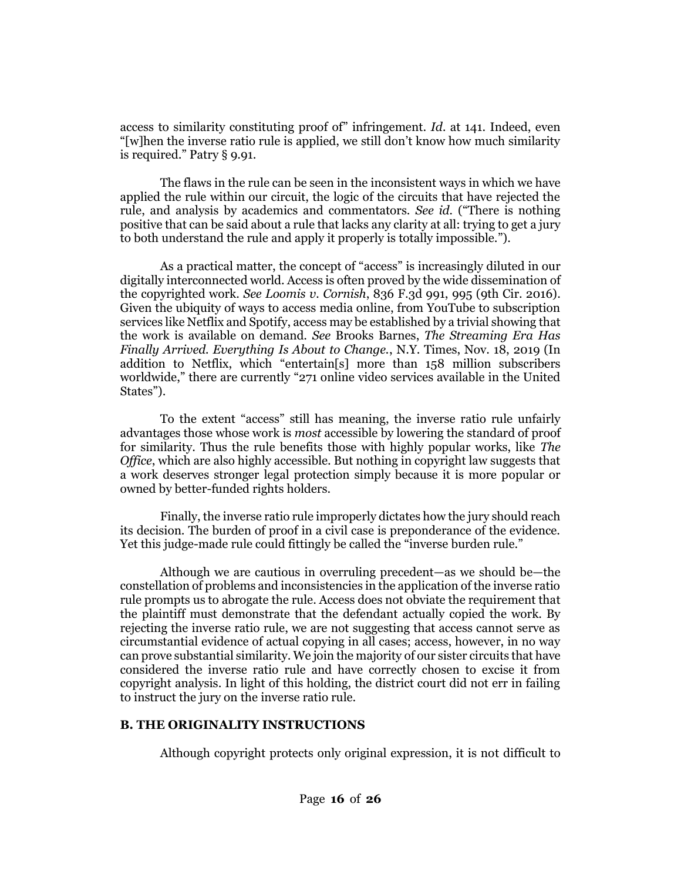access to similarity constituting proof of" infringement. *Id.* at 141. Indeed, even "[w]hen the inverse ratio rule is applied, we still don't know how much similarity is required." Patry § 9.91.

The flaws in the rule can be seen in the inconsistent ways in which we have applied the rule within our circuit, the logic of the circuits that have rejected the rule, and analysis by academics and commentators. *See id.* ("There is nothing positive that can be said about a rule that lacks any clarity at all: trying to get a jury to both understand the rule and apply it properly is totally impossible.").

As a practical matter, the concept of "access" is increasingly diluted in our digitally interconnected world. Access is often proved by the wide dissemination of the copyrighted work. *See Loomis v. Cornish*[, 836 F.3d 991, 995 \(9th Cir. 2016\).](http://www.westlaw.com/Link/Document/FullText?findType=Y&serNum=2039697708&pubNum=0000506&originatingDoc=I03972340624a11ea901f977ab2e6b36d&refType=RP&fi=co_pp_sp_506_995&originationContext=document&vr=3.0&rs=cblt1.0&transitionType=DocumentItem&contextData=(sc.Search)#co_pp_sp_506_995) Given the ubiquity of ways to access media online, from YouTube to subscription services like Netflix and Spotify, access may be established by a trivial showing that the work is available on demand. *See* Brooks Barnes, *The Streaming Era Has Finally Arrived. Everything Is About to Change.*, N.Y. Times, Nov. 18, 2019 (In addition to Netflix, which "entertain[s] more than 158 million subscribers worldwide," there are currently "271 online video services available in the United States").

To the extent "access" still has meaning, the inverse ratio rule unfairly advantages those whose work is *most* accessible by lowering the standard of proof for similarity. Thus the rule benefits those with highly popular works, like *The Office*, which are also highly accessible. But nothing in copyright law suggests that a work deserves stronger legal protection simply because it is more popular or owned by better-funded rights holders.

Finally, the inverse ratio rule improperly dictates how the jury should reach its decision. The burden of proof in a civil case is preponderance of the evidence. Yet this judge-made rule could fittingly be called the "inverse burden rule."

Although we are cautious in overruling precedent—as we should be—the constellation of problems and inconsistencies in the application of the inverse ratio rule prompts us to abrogate the rule. Access does not obviate the requirement that the plaintiff must demonstrate that the defendant actually copied the work. By rejecting the inverse ratio rule, we are not suggesting that access cannot serve as circumstantial evidence of actual copying in all cases; access, however, in no way can prove substantial similarity. We join the majority of our sister circuits that have considered the inverse ratio rule and have correctly chosen to excise it from copyright analysis. In light of this holding, the district court did not err in failing to instruct the jury on the inverse ratio rule.

## **B. THE ORIGINALITY INSTRUCTIONS**

Although copyright protects only original expression, it is not difficult to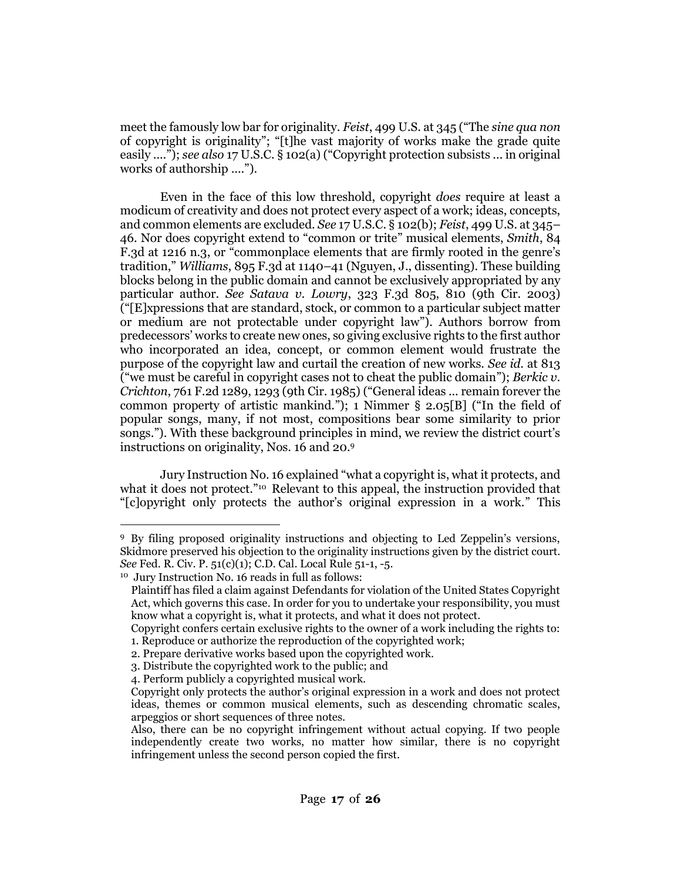meet the famously low bar for originality. *Feist*[, 499 U.S. at](http://www.westlaw.com/Link/Document/FullText?findType=Y&serNum=1991060551&pubNum=0000780&originatingDoc=I03972340624a11ea901f977ab2e6b36d&refType=RP&fi=co_pp_sp_780_345&originationContext=document&vr=3.0&rs=cblt1.0&transitionType=DocumentItem&contextData=(sc.Search)#co_pp_sp_780_345) 345 ("The *sine qua non* of copyright is originality"; "[t]he vast majority of works make the grade quite easily ...."); *see also* [17 U.S.C. § 102\(a\)](http://www.westlaw.com/Link/Document/FullText?findType=L&pubNum=1000546&cite=17USCAS102&originatingDoc=I03972340624a11ea901f977ab2e6b36d&refType=RB&originationContext=document&vr=3.0&rs=cblt1.0&transitionType=DocumentItem&contextData=(sc.Search)#co_pp_8b3b0000958a4) ("Copyright protection subsists ... in original works of authorship ....").

Even in the face of this low threshold, copyright *does* require at least a modicum of creativity and does not protect every aspect of a work; ideas, concepts, and common elements are excluded. *See* [17 U.S.C. § 102\(b\);](http://www.westlaw.com/Link/Document/FullText?findType=L&pubNum=1000546&cite=17USCAS102&originatingDoc=I03972340624a11ea901f977ab2e6b36d&refType=RB&originationContext=document&vr=3.0&rs=cblt1.0&transitionType=DocumentItem&contextData=(sc.Search)#co_pp_a83b000018c76) *Feist*[, 499 U.S. at 345](http://www.westlaw.com/Link/Document/FullText?findType=Y&serNum=1991060551&pubNum=0000780&originatingDoc=I03972340624a11ea901f977ab2e6b36d&refType=RP&fi=co_pp_sp_780_345&originationContext=document&vr=3.0&rs=cblt1.0&transitionType=DocumentItem&contextData=(sc.Search)#co_pp_sp_780_345)– [46.](http://www.westlaw.com/Link/Document/FullText?findType=Y&serNum=1991060551&pubNum=0000780&originatingDoc=I03972340624a11ea901f977ab2e6b36d&refType=RP&fi=co_pp_sp_780_345&originationContext=document&vr=3.0&rs=cblt1.0&transitionType=DocumentItem&contextData=(sc.Search)#co_pp_sp_780_345) Nor does copyright extend to "common or trite" musical elements, *[Smith](http://www.westlaw.com/Link/Document/FullText?findType=Y&serNum=1996128764&pubNum=0000506&originatingDoc=I03972340624a11ea901f977ab2e6b36d&refType=RP&fi=co_pp_sp_506_1216&originationContext=document&vr=3.0&rs=cblt1.0&transitionType=DocumentItem&contextData=(sc.Search)#co_pp_sp_506_1216)*, 84 [F.3d at 1216 n.3,](http://www.westlaw.com/Link/Document/FullText?findType=Y&serNum=1996128764&pubNum=0000506&originatingDoc=I03972340624a11ea901f977ab2e6b36d&refType=RP&fi=co_pp_sp_506_1216&originationContext=document&vr=3.0&rs=cblt1.0&transitionType=DocumentItem&contextData=(sc.Search)#co_pp_sp_506_1216) or "commonplace elements that are firmly rooted in the genre's tradition," *Williams*[, 895 F.3d at 1140](http://www.westlaw.com/Link/Document/FullText?findType=Y&serNum=2044961574&pubNum=0000506&originatingDoc=I03972340624a11ea901f977ab2e6b36d&refType=RP&fi=co_pp_sp_506_1140&originationContext=document&vr=3.0&rs=cblt1.0&transitionType=DocumentItem&contextData=(sc.Search)#co_pp_sp_506_1140)–41 (Nguyen, J., dissenting). These building blocks belong in the public domain and cannot be exclusively appropriated by any particular author. *See Satava v. Lowry*[, 323 F.3d 805, 810 \(9th Cir. 2003\)](http://www.westlaw.com/Link/Document/FullText?findType=Y&serNum=2003233155&pubNum=0000506&originatingDoc=I03972340624a11ea901f977ab2e6b36d&refType=RP&fi=co_pp_sp_506_810&originationContext=document&vr=3.0&rs=cblt1.0&transitionType=DocumentItem&contextData=(sc.Search)#co_pp_sp_506_810) ("[E]xpressions that are standard, stock, or common to a particular subject matter or medium are not protectable under copyright law"). Authors borrow from predecessors' works to create new ones, so giving exclusive rights to the first author who incorporated an idea, concept, or common element would frustrate the purpose of the copyright law and curtail the creation of new works. *See id.* [at 813](http://www.westlaw.com/Link/Document/FullText?findType=Y&serNum=2003233155&pubNum=0000506&originatingDoc=I03972340624a11ea901f977ab2e6b36d&refType=RP&fi=co_pp_sp_506_813&originationContext=document&vr=3.0&rs=cblt1.0&transitionType=DocumentItem&contextData=(sc.Search)#co_pp_sp_506_813) ("we must be careful in copyright cases not to cheat the public domain"); *[Berkic v.](http://www.westlaw.com/Link/Document/FullText?findType=Y&serNum=1985127290&pubNum=0000350&originatingDoc=I03972340624a11ea901f977ab2e6b36d&refType=RP&fi=co_pp_sp_350_1293&originationContext=document&vr=3.0&rs=cblt1.0&transitionType=DocumentItem&contextData=(sc.Search)#co_pp_sp_350_1293)  Crichton*[, 761 F.2d 1289, 1293 \(9th Cir. 1985\)](http://www.westlaw.com/Link/Document/FullText?findType=Y&serNum=1985127290&pubNum=0000350&originatingDoc=I03972340624a11ea901f977ab2e6b36d&refType=RP&fi=co_pp_sp_350_1293&originationContext=document&vr=3.0&rs=cblt1.0&transitionType=DocumentItem&contextData=(sc.Search)#co_pp_sp_350_1293) ("General ideas ... remain forever the common property of artistic mankind."); 1 Nimmer § 2.05[B] ("In the field of popular songs, many, if not most, compositions bear some similarity to prior songs."). With these background principles in mind, we review the district court's instructions on originality, Nos. 16 and 20.<sup>9</sup>

Jury Instruction No. 16 explained "what a copyright is, what it protects, and what it does not protect." <sup>10</sup> Relevant to this appeal, the instruction provided that "[c]opyright only protects the author's original expression in a work." This

<sup>9</sup> By filing proposed originality instructions and objecting to Led Zeppelin's versions, Skidmore preserved his objection to the originality instructions given by the district court. *See* [Fed. R. Civ. P. 51\(c\)\(1\);](http://www.westlaw.com/Link/Document/FullText?findType=L&pubNum=1000600&cite=USFRCPR51&originatingDoc=I03972340624a11ea901f977ab2e6b36d&refType=LQ&originationContext=document&vr=3.0&rs=cblt1.0&transitionType=DocumentItem&contextData=(sc.Search)) C.D. Cal. Local Rule 51-1, -5.

<sup>10</sup> Jury Instruction No. 16 reads in full as follows:

Plaintiff has filed a claim against Defendants for violation of the United States Copyright Act, which governs this case. In order for you to undertake your responsibility, you must know what a copyright is, what it protects, and what it does not protect.

Copyright confers certain exclusive rights to the owner of a work including the rights to: 1. Reproduce or authorize the reproduction of the copyrighted work;

<sup>2.</sup> Prepare derivative works based upon the copyrighted work.

<sup>3.</sup> Distribute the copyrighted work to the public; and

<sup>4.</sup> Perform publicly a copyrighted musical work.

Copyright only protects the author's original expression in a work and does not protect ideas, themes or common musical elements, such as descending chromatic scales, arpeggios or short sequences of three notes.

Also, there can be no copyright infringement without actual copying. If two people independently create two works, no matter how similar, there is no copyright infringement unless the second person copied the first.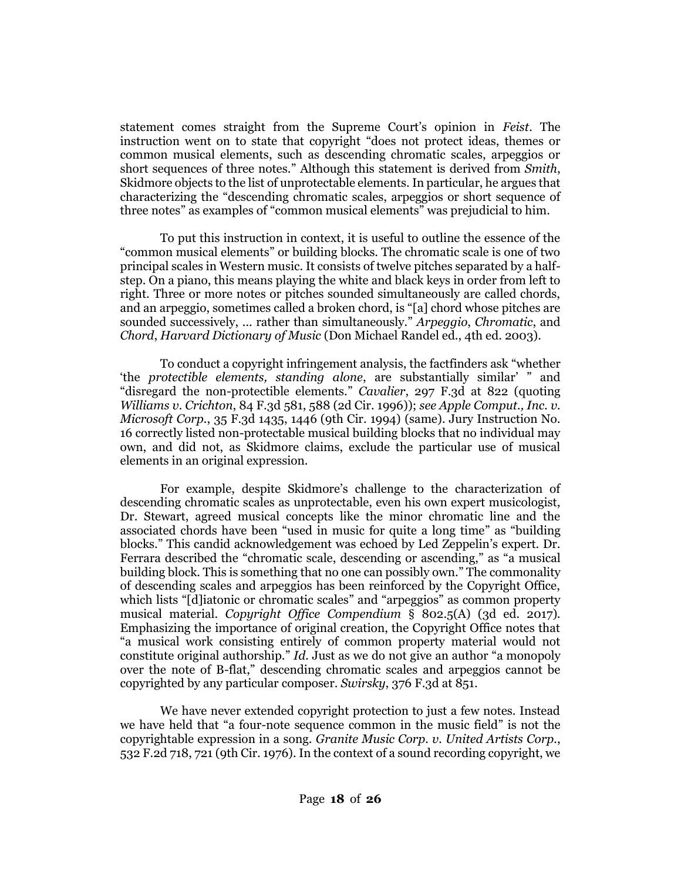statement comes straight from the Supreme Court's opinion in *[Feist](http://www.westlaw.com/Link/Document/FullText?findType=Y&serNum=1991060551&pubNum=0000780&originatingDoc=I03972340624a11ea901f977ab2e6b36d&refType=RP&originationContext=document&vr=3.0&rs=cblt1.0&transitionType=DocumentItem&contextData=(sc.Search))*. The instruction went on to state that copyright "does not protect ideas, themes or common musical elements, such as descending chromatic scales, arpeggios or short sequences of three notes." Although this statement is derived from *[Smith](http://www.westlaw.com/Link/Document/FullText?findType=Y&serNum=1996128764&pubNum=0000506&originatingDoc=I03972340624a11ea901f977ab2e6b36d&refType=RP&originationContext=document&vr=3.0&rs=cblt1.0&transitionType=DocumentItem&contextData=(sc.Search))*, Skidmore objects to the list of unprotectable elements. In particular, he argues that characterizing the "descending chromatic scales, arpeggios or short sequence of three notes" as examples of "common musical elements" was prejudicial to him.

To put this instruction in context, it is useful to outline the essence of the "common musical elements" or building blocks. The chromatic scale is one of two principal scales in Western music. It consists of twelve pitches separated by a halfstep. On a piano, this means playing the white and black keys in order from left to right. Three or more notes or pitches sounded simultaneously are called chords, and an arpeggio, sometimes called a broken chord, is "[a] chord whose pitches are sounded successively, ... rather than simultaneously." *Arpeggio*, *Chromatic*, and *Chord*, *Harvard Dictionary of Music* (Don Michael Randel ed., 4th ed. 2003).

To conduct a copyright infringement analysis, the factfinders ask "whether 'the *protectible elements, standing alone*, are substantially similar' " and "disregard the non-protectible elements." *Cavalier*[, 297 F.3d at 822](http://www.westlaw.com/Link/Document/FullText?findType=Y&serNum=2002328823&pubNum=0000506&originatingDoc=I03972340624a11ea901f977ab2e6b36d&refType=RP&fi=co_pp_sp_506_822&originationContext=document&vr=3.0&rs=cblt1.0&transitionType=DocumentItem&contextData=(sc.Search)#co_pp_sp_506_822) (quoting *Williams v. Crichton*[, 84 F.3d 581, 588 \(2d Cir. 1996\)\)](http://www.westlaw.com/Link/Document/FullText?findType=Y&serNum=1996123532&pubNum=0000506&originatingDoc=I03972340624a11ea901f977ab2e6b36d&refType=RP&fi=co_pp_sp_506_588&originationContext=document&vr=3.0&rs=cblt1.0&transitionType=DocumentItem&contextData=(sc.Search)#co_pp_sp_506_588); *see [Apple Comput., Inc. v.](http://www.westlaw.com/Link/Document/FullText?findType=Y&serNum=1994188702&pubNum=0000506&originatingDoc=I03972340624a11ea901f977ab2e6b36d&refType=RP&fi=co_pp_sp_506_1446&originationContext=document&vr=3.0&rs=cblt1.0&transitionType=DocumentItem&contextData=(sc.Search)#co_pp_sp_506_1446)  Microsoft Corp.*[, 35 F.3d 1435, 1446 \(9th Cir. 1994\)](http://www.westlaw.com/Link/Document/FullText?findType=Y&serNum=1994188702&pubNum=0000506&originatingDoc=I03972340624a11ea901f977ab2e6b36d&refType=RP&fi=co_pp_sp_506_1446&originationContext=document&vr=3.0&rs=cblt1.0&transitionType=DocumentItem&contextData=(sc.Search)#co_pp_sp_506_1446) (same). Jury Instruction No. 16 correctly listed non-protectable musical building blocks that no individual may own, and did not, as Skidmore claims, exclude the particular use of musical elements in an original expression.

For example, despite Skidmore's challenge to the characterization of descending chromatic scales as unprotectable, even his own expert musicologist, Dr. Stewart, agreed musical concepts like the minor chromatic line and the associated chords have been "used in music for quite a long time" as "building blocks." This candid acknowledgement was echoed by Led Zeppelin's expert. Dr. Ferrara described the "chromatic scale, descending or ascending," as "a musical building block. This is something that no one can possibly own." The commonality of descending scales and arpeggios has been reinforced by the Copyright Office, which lists "[d]iatonic or chromatic scales" and "arpeggios" as common property musical material. *Copyright Office Compendium* § 802.5(A) (3d ed. 2017). Emphasizing the importance of original creation, the Copyright Office notes that "a musical work consisting entirely of common property material would not constitute original authorship." *[Id.](http://www.westlaw.com/Link/Document/FullText?findType=Y&serNum=1994188702&pubNum=0000506&originatingDoc=I03972340624a11ea901f977ab2e6b36d&refType=RP&originationContext=document&vr=3.0&rs=cblt1.0&transitionType=DocumentItem&contextData=(sc.Search))* Just as we do not give an author "a monopoly over the note of B-flat," descending chromatic scales and arpeggios cannot be copyrighted by any particular composer. *Swirsky*[, 376 F.3d at 851.](http://www.westlaw.com/Link/Document/FullText?findType=Y&serNum=2004692521&pubNum=0000506&originatingDoc=I03972340624a11ea901f977ab2e6b36d&refType=RP&fi=co_pp_sp_506_851&originationContext=document&vr=3.0&rs=cblt1.0&transitionType=DocumentItem&contextData=(sc.Search)#co_pp_sp_506_851)

We have never extended copyright protection to just a few notes. Instead we have held that "a four-note sequence common in the music field" is not the copyrightable expression in a song. *[Granite Music Corp. v. United Artists](http://www.westlaw.com/Link/Document/FullText?findType=Y&serNum=1976145729&pubNum=0000350&originatingDoc=I03972340624a11ea901f977ab2e6b36d&refType=RP&fi=co_pp_sp_350_721&originationContext=document&vr=3.0&rs=cblt1.0&transitionType=DocumentItem&contextData=(sc.Search)#co_pp_sp_350_721) Corp.*, [532 F.2d 718, 721 \(9th Cir. 1976\).](http://www.westlaw.com/Link/Document/FullText?findType=Y&serNum=1976145729&pubNum=0000350&originatingDoc=I03972340624a11ea901f977ab2e6b36d&refType=RP&fi=co_pp_sp_350_721&originationContext=document&vr=3.0&rs=cblt1.0&transitionType=DocumentItem&contextData=(sc.Search)#co_pp_sp_350_721) In the context of a sound recording copyright, we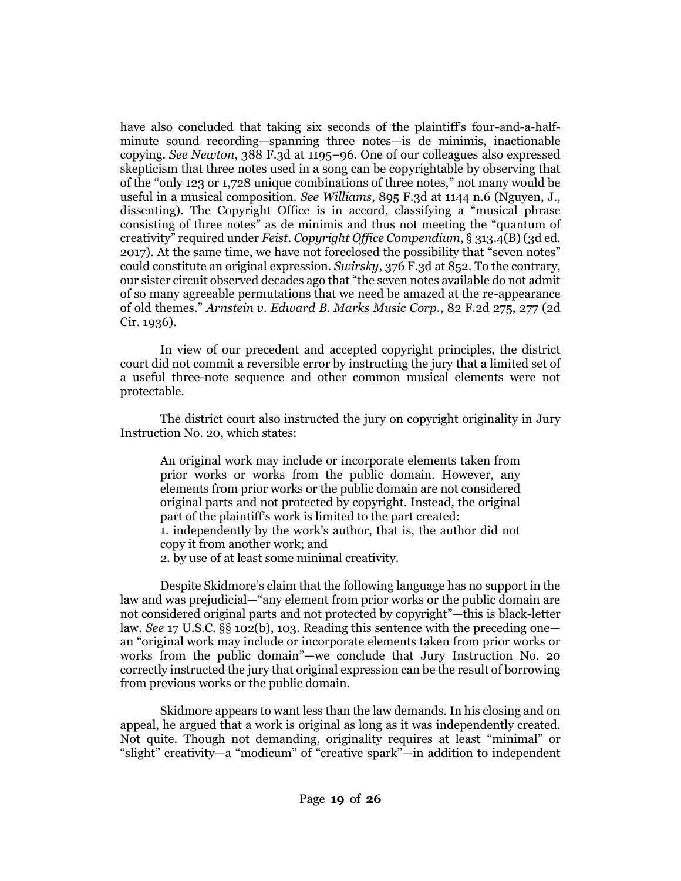have also concluded that taking six seconds of the plaintiff's four-and-a-halfminute sound recording—spanning three notes—is de minimis, inactionable copying. *See Newton*[, 388 F.3d at 1195](http://www.westlaw.com/Link/Document/FullText?findType=Y&serNum=2005466062&pubNum=0000506&originatingDoc=I03972340624a11ea901f977ab2e6b36d&refType=RP&fi=co_pp_sp_506_1195&originationContext=document&vr=3.0&rs=cblt1.0&transitionType=DocumentItem&contextData=(sc.Search)#co_pp_sp_506_1195)–96. One of our colleagues also expressed skepticism that three notes used in a song can be copyrightable by observing that of the "only 123 or 1,728 unique combinations of three notes," not many would be useful in a musical composition. *See Williams*[, 895 F.3d at 1144 n.6](http://www.westlaw.com/Link/Document/FullText?findType=Y&serNum=2044961574&pubNum=0000506&originatingDoc=I03972340624a11ea901f977ab2e6b36d&refType=RP&fi=co_pp_sp_506_1144&originationContext=document&vr=3.0&rs=cblt1.0&transitionType=DocumentItem&contextData=(sc.Search)#co_pp_sp_506_1144) (Nguyen, J., dissenting). The Copyright Office is in accord, classifying a "musical phrase consisting of three notes" as de minimis and thus not meeting the "quantum of creativity" required under *[Feist](http://www.westlaw.com/Link/Document/FullText?findType=Y&serNum=1991060551&pubNum=0000780&originatingDoc=I03972340624a11ea901f977ab2e6b36d&refType=RP&originationContext=document&vr=3.0&rs=cblt1.0&transitionType=DocumentItem&contextData=(sc.Search))*. *Copyright Office Compendium*, § 313.4(B) (3d ed. 2017). At the same time, we have not foreclosed the possibility that "seven notes" could constitute an original expression. *Swirsky*[, 376 F.3d at 852.](http://www.westlaw.com/Link/Document/FullText?findType=Y&serNum=2004692521&pubNum=0000506&originatingDoc=I03972340624a11ea901f977ab2e6b36d&refType=RP&fi=co_pp_sp_506_852&originationContext=document&vr=3.0&rs=cblt1.0&transitionType=DocumentItem&contextData=(sc.Search)#co_pp_sp_506_852) To the contrary, our sister circuit observed decades ago that "the seven notes available do not admit of so many agreeable permutations that we need be amazed at the re-appearance of old themes." *[Arnstein v. Edward B. Marks Music Corp.](http://www.westlaw.com/Link/Document/FullText?findType=Y&serNum=1936129268&pubNum=0000350&originatingDoc=I03972340624a11ea901f977ab2e6b36d&refType=RP&fi=co_pp_sp_350_277&originationContext=document&vr=3.0&rs=cblt1.0&transitionType=DocumentItem&contextData=(sc.Search)#co_pp_sp_350_277)*, 82 F.2d 275, 277 (2d [Cir. 1936\).](http://www.westlaw.com/Link/Document/FullText?findType=Y&serNum=1936129268&pubNum=0000350&originatingDoc=I03972340624a11ea901f977ab2e6b36d&refType=RP&fi=co_pp_sp_350_277&originationContext=document&vr=3.0&rs=cblt1.0&transitionType=DocumentItem&contextData=(sc.Search)#co_pp_sp_350_277)

In view of our precedent and accepted copyright principles, the district court did not commit a reversible error by instructing the jury that a limited set of a useful three-note sequence and other common musical elements were not protectable.

The district court also instructed the jury on copyright originality in Jury Instruction No. 20, which states:

An original work may include or incorporate elements taken from prior works or works from the public domain. However, any elements from prior works or the public domain are not considered original parts and not protected by copyright. Instead, the original part of the plaintiff's work is limited to the part created: 1. independently by the work's author, that is, the author did not copy it from another work; and 2. by use of at least some minimal creativity.

Despite Skidmore's claim that the following language has no support in the law and was prejudicial—"any element from prior works or the public domain are not considered original parts and not protected by copyright"—this is black-letter law. *See* [17 U.S.C. §§ 102\(b\),](http://www.westlaw.com/Link/Document/FullText?findType=L&pubNum=1000546&cite=17USCAS102&originatingDoc=I03972340624a11ea901f977ab2e6b36d&refType=RB&originationContext=document&vr=3.0&rs=cblt1.0&transitionType=DocumentItem&contextData=(sc.Search)#co_pp_a83b000018c76) [103.](http://www.westlaw.com/Link/Document/FullText?findType=L&pubNum=1000546&cite=17USCAS103&originatingDoc=I03972340624a11ea901f977ab2e6b36d&refType=LQ&originationContext=document&vr=3.0&rs=cblt1.0&transitionType=DocumentItem&contextData=(sc.Search)) Reading this sentence with the preceding one an "original work may include or incorporate elements taken from prior works or works from the public domain"—we conclude that Jury Instruction No. 20 correctly instructed the jury that original expression can be the result of borrowing from previous works or the public domain.

Skidmore appears to want less than the law demands. In his closing and on appeal, he argued that a work is original as long as it was independently created. Not quite. Though not demanding, originality requires at least "minimal" or "slight" creativity—a "modicum" of "creative spark"—in addition to independent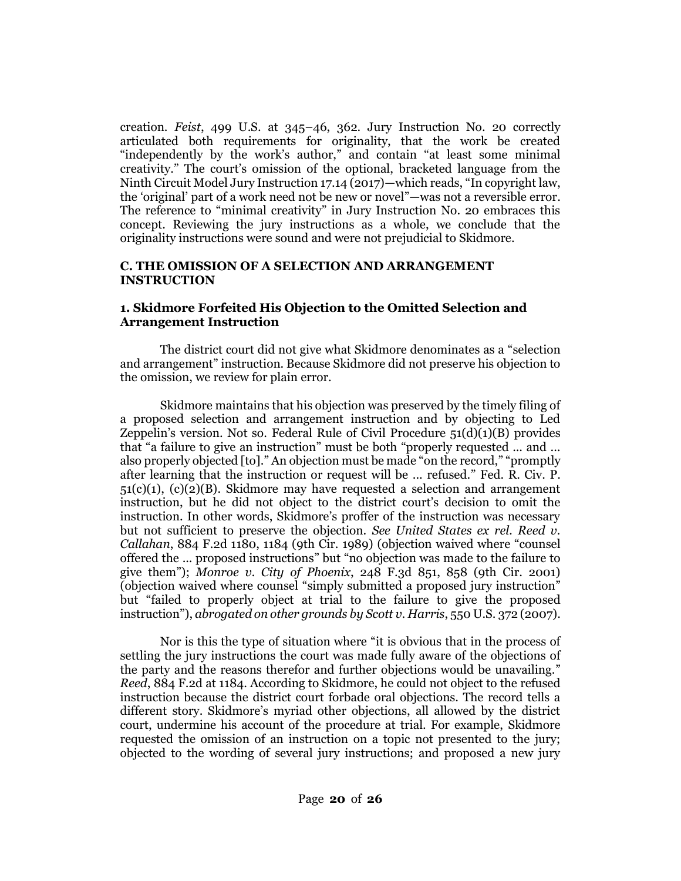creation. *Feist*[, 499 U.S. at 345](http://www.westlaw.com/Link/Document/FullText?findType=Y&serNum=1991060551&pubNum=0000780&originatingDoc=I03972340624a11ea901f977ab2e6b36d&refType=RP&fi=co_pp_sp_780_345&originationContext=document&vr=3.0&rs=cblt1.0&transitionType=DocumentItem&contextData=(sc.Search)#co_pp_sp_780_345)–46, 362. Jury Instruction No. 20 correctly articulated both requirements for originality, that the work be created "independently by the work's author," and contain "at least some minimal creativity." The court's omission of the optional, bracketed language from the Ninth Circuit Model Jury Instruction 17.14 (2017)—which reads, "In copyright law, the 'original' part of a work need not be new or novel"—was not a reversible error. The reference to "minimal creativity" in Jury Instruction No. 20 embraces this concept. Reviewing the jury instructions as a whole, we conclude that the originality instructions were sound and were not prejudicial to Skidmore.

### **C. THE OMISSION OF A SELECTION AND ARRANGEMENT INSTRUCTION**

## **1. Skidmore Forfeited His Objection to the Omitted Selection and Arrangement Instruction**

The district court did not give what Skidmore denominates as a "selection and arrangement" instruction. Because Skidmore did not preserve his objection to the omission, we review for plain error.

Skidmore maintains that his objection was preserved by the timely filing of a proposed selection and arrangement instruction and by objecting to Led Zeppelin's version. Not so. Federal Rule of Civil Procedure  $51(d)(1)(B)$  provides that "a failure to give an instruction" must be both "properly requested ... and ... also properly objected [to]." An objection must be made "on the record," "promptly after learning that the instruction or request will be ... refused." [Fed. R. Civ. P.](http://www.westlaw.com/Link/Document/FullText?findType=L&pubNum=1000600&cite=USFRCPR51&originatingDoc=I03972340624a11ea901f977ab2e6b36d&refType=LQ&originationContext=document&vr=3.0&rs=cblt1.0&transitionType=DocumentItem&contextData=(sc.Search))   $51(c)(1)$ ,  $(c)(2)(B)$ . Skidmore may have requested a selection and arrangement instruction, but he did not object to the district court's decision to omit the instruction. In other words, Skidmore's proffer of the instruction was necessary but not sufficient to preserve the objection. *See [United States ex rel. Reed v.](http://www.westlaw.com/Link/Document/FullText?findType=Y&serNum=1989127853&pubNum=0000350&originatingDoc=I03972340624a11ea901f977ab2e6b36d&refType=RP&fi=co_pp_sp_350_1184&originationContext=document&vr=3.0&rs=cblt1.0&transitionType=DocumentItem&contextData=(sc.Search)#co_pp_sp_350_1184)  Callahan*[, 884 F.2d 1180, 1184 \(9th Cir. 1989\)](http://www.westlaw.com/Link/Document/FullText?findType=Y&serNum=1989127853&pubNum=0000350&originatingDoc=I03972340624a11ea901f977ab2e6b36d&refType=RP&fi=co_pp_sp_350_1184&originationContext=document&vr=3.0&rs=cblt1.0&transitionType=DocumentItem&contextData=(sc.Search)#co_pp_sp_350_1184) (objection waived where "counsel offered the ... proposed instructions" but "no objection was made to the failure to give them"); *Monroe v. City of Phoenix*[, 248 F.3d 851, 858 \(9th Cir. 2001\)](http://www.westlaw.com/Link/Document/FullText?findType=Y&serNum=2001308661&pubNum=0000506&originatingDoc=I03972340624a11ea901f977ab2e6b36d&refType=RP&fi=co_pp_sp_506_858&originationContext=document&vr=3.0&rs=cblt1.0&transitionType=DocumentItem&contextData=(sc.Search)#co_pp_sp_506_858) (objection waived where counsel "simply submitted a proposed jury instruction" but "failed to properly object at trial to the failure to give the proposed instruction"), *abrogated on other grounds by [Scott v. Harris](http://www.westlaw.com/Link/Document/FullText?findType=Y&serNum=2012126147&pubNum=0000708&originatingDoc=I03972340624a11ea901f977ab2e6b36d&refType=RP&originationContext=document&vr=3.0&rs=cblt1.0&transitionType=DocumentItem&contextData=(sc.Search))*, 550 U.S. 372 (2007).

Nor is this the type of situation where "it is obvious that in the process of settling the jury instructions the court was made fully aware of the objections of the party and the reasons therefor and further objections would be unavailing." *Reed*[, 884 F.2d at 1184.](http://www.westlaw.com/Link/Document/FullText?findType=Y&serNum=1989127853&pubNum=0000350&originatingDoc=I03972340624a11ea901f977ab2e6b36d&refType=RP&fi=co_pp_sp_350_1184&originationContext=document&vr=3.0&rs=cblt1.0&transitionType=DocumentItem&contextData=(sc.Search)#co_pp_sp_350_1184) According to Skidmore, he could not object to the refused instruction because the district court forbade oral objections. The record tells a different story. Skidmore's myriad other objections, all allowed by the district court, undermine his account of the procedure at trial. For example, Skidmore requested the omission of an instruction on a topic not presented to the jury; objected to the wording of several jury instructions; and proposed a new jury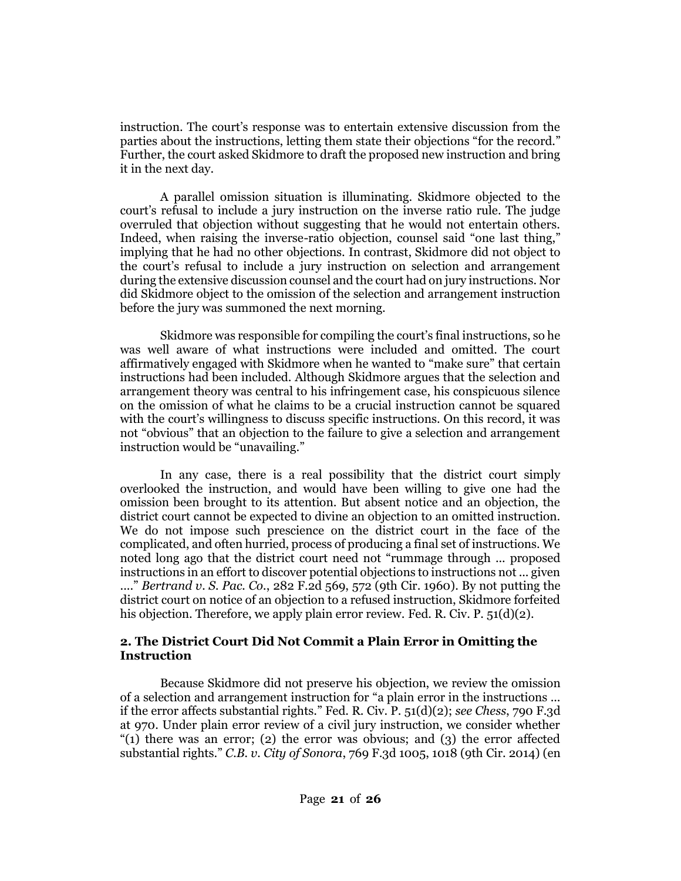instruction. The court's response was to entertain extensive discussion from the parties about the instructions, letting them state their objections "for the record." Further, the court asked Skidmore to draft the proposed new instruction and bring it in the next day.

A parallel omission situation is illuminating. Skidmore objected to the court's refusal to include a jury instruction on the inverse ratio rule. The judge overruled that objection without suggesting that he would not entertain others. Indeed, when raising the inverse-ratio objection, counsel said "one last thing," implying that he had no other objections. In contrast, Skidmore did not object to the court's refusal to include a jury instruction on selection and arrangement during the extensive discussion counsel and the court had on jury instructions. Nor did Skidmore object to the omission of the selection and arrangement instruction before the jury was summoned the next morning.

Skidmore was responsible for compiling the court's final instructions, so he was well aware of what instructions were included and omitted. The court affirmatively engaged with Skidmore when he wanted to "make sure" that certain instructions had been included. Although Skidmore argues that the selection and arrangement theory was central to his infringement case, his conspicuous silence on the omission of what he claims to be a crucial instruction cannot be squared with the court's willingness to discuss specific instructions. On this record, it was not "obvious" that an objection to the failure to give a selection and arrangement instruction would be "unavailing."

In any case, there is a real possibility that the district court simply overlooked the instruction, and would have been willing to give one had the omission been brought to its attention. But absent notice and an objection, the district court cannot be expected to divine an objection to an omitted instruction. We do not impose such prescience on the district court in the face of the complicated, and often hurried, process of producing a final set of instructions. We noted long ago that the district court need not "rummage through ... proposed instructions in an effort to discover potential objections to instructions not ... given ...." *Bertrand v. S. Pac. Co.*[, 282 F.2d 569, 572 \(9th Cir. 1960\).](http://www.westlaw.com/Link/Document/FullText?findType=Y&serNum=1960113907&pubNum=0000350&originatingDoc=I03972340624a11ea901f977ab2e6b36d&refType=RP&fi=co_pp_sp_350_572&originationContext=document&vr=3.0&rs=cblt1.0&transitionType=DocumentItem&contextData=(sc.Search)#co_pp_sp_350_572) By not putting the district court on notice of an objection to a refused instruction, Skidmore forfeited his objection. Therefore, we apply plain error review[. Fed. R. Civ. P. 51\(d\)\(2\).](http://www.westlaw.com/Link/Document/FullText?findType=L&pubNum=1000600&cite=USFRCPR51&originatingDoc=I03972340624a11ea901f977ab2e6b36d&refType=LQ&originationContext=document&vr=3.0&rs=cblt1.0&transitionType=DocumentItem&contextData=(sc.Search))

#### **2. The District Court Did Not Commit a Plain Error in Omitting the Instruction**

Because Skidmore did not preserve his objection, we review the omission of a selection and arrangement instruction for "a plain error in the instructions ... if the error affects substantial rights." [Fed. R. Civ. P. 51\(d\)\(2\);](http://www.westlaw.com/Link/Document/FullText?findType=L&pubNum=1000600&cite=USFRCPR51&originatingDoc=I03972340624a11ea901f977ab2e6b36d&refType=LQ&originationContext=document&vr=3.0&rs=cblt1.0&transitionType=DocumentItem&contextData=(sc.Search)) *see Chess*[, 790 F.3d](http://www.westlaw.com/Link/Document/FullText?findType=Y&serNum=2036540844&pubNum=0000506&originatingDoc=I03972340624a11ea901f977ab2e6b36d&refType=RP&fi=co_pp_sp_506_970&originationContext=document&vr=3.0&rs=cblt1.0&transitionType=DocumentItem&contextData=(sc.Search)#co_pp_sp_506_970)  [at 970.](http://www.westlaw.com/Link/Document/FullText?findType=Y&serNum=2036540844&pubNum=0000506&originatingDoc=I03972340624a11ea901f977ab2e6b36d&refType=RP&fi=co_pp_sp_506_970&originationContext=document&vr=3.0&rs=cblt1.0&transitionType=DocumentItem&contextData=(sc.Search)#co_pp_sp_506_970) Under plain error review of a civil jury instruction, we consider whether "(1) there was an error; (2) the error was obvious; and (3) the error affected substantial rights." *C.B. v. City of Sonora*[, 769 F.3d 1005, 1018 \(9th Cir. 2014\)](http://www.westlaw.com/Link/Document/FullText?findType=Y&serNum=2034610097&pubNum=0000506&originatingDoc=I03972340624a11ea901f977ab2e6b36d&refType=RP&fi=co_pp_sp_506_1018&originationContext=document&vr=3.0&rs=cblt1.0&transitionType=DocumentItem&contextData=(sc.Search)#co_pp_sp_506_1018) (en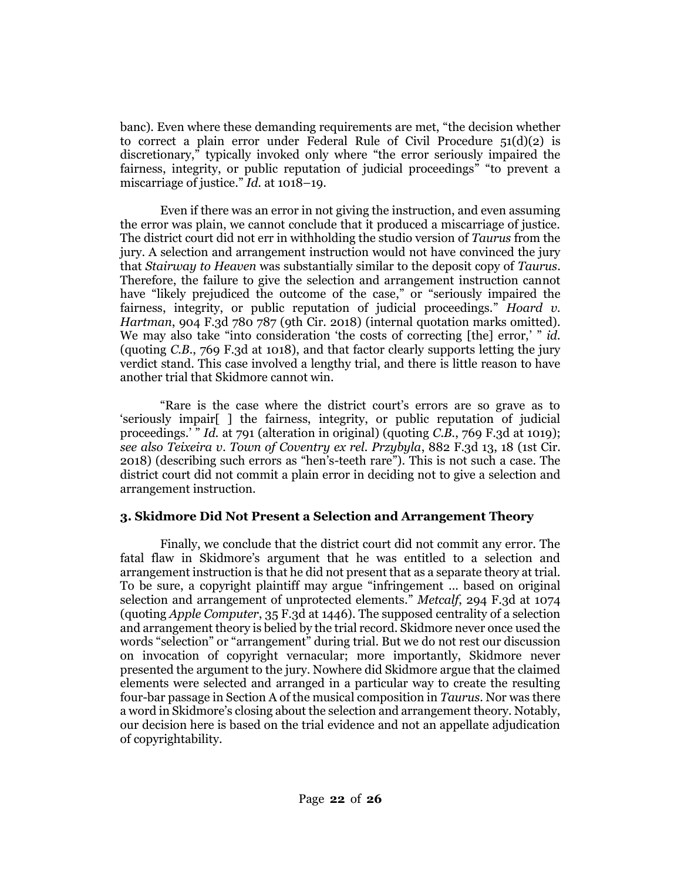banc). Even where these demanding requirements are met, "the decision whether to correct a plain error under Federal Rule of Civil Procedure  $51(d)(2)$  is discretionary," typically invoked only where "the error seriously impaired the fairness, integrity, or public reputation of judicial proceedings" "to prevent a miscarriage of justice." *Id.* [at 1018](http://www.westlaw.com/Link/Document/FullText?findType=Y&serNum=2034610097&pubNum=0000506&originatingDoc=I03972340624a11ea901f977ab2e6b36d&refType=RP&fi=co_pp_sp_506_1018&originationContext=document&vr=3.0&rs=cblt1.0&transitionType=DocumentItem&contextData=(sc.Search)#co_pp_sp_506_1018)–19.

Even if there was an error in not giving the instruction, and even assuming the error was plain, we cannot conclude that it produced a miscarriage of justice. The district court did not err in withholding the studio version of *Taurus* from the jury. A selection and arrangement instruction would not have convinced the jury that *Stairway to Heaven* was substantially similar to the deposit copy of *Taurus*. Therefore, the failure to give the selection and arrangement instruction cannot have "likely prejudiced the outcome of the case," or "seriously impaired the fairness, integrity, or public reputation of judicial proceedings." *[Hoard v.](http://www.westlaw.com/Link/Document/FullText?findType=Y&serNum=2045494470&pubNum=0000506&originatingDoc=I03972340624a11ea901f977ab2e6b36d&refType=RP&fi=co_pp_sp_506_787&originationContext=document&vr=3.0&rs=cblt1.0&transitionType=DocumentItem&contextData=(sc.Search)#co_pp_sp_506_787)  Hartman*[, 904 F.3d 780 787 \(9th Cir. 2018\)](http://www.westlaw.com/Link/Document/FullText?findType=Y&serNum=2045494470&pubNum=0000506&originatingDoc=I03972340624a11ea901f977ab2e6b36d&refType=RP&fi=co_pp_sp_506_787&originationContext=document&vr=3.0&rs=cblt1.0&transitionType=DocumentItem&contextData=(sc.Search)#co_pp_sp_506_787) (internal quotation marks omitted). We may also take "into consideration 'the costs of correcting [the] error,' " *[id.](http://www.westlaw.com/Link/Document/FullText?findType=Y&serNum=2045494470&pubNum=0000506&originatingDoc=I03972340624a11ea901f977ab2e6b36d&refType=RP&originationContext=document&vr=3.0&rs=cblt1.0&transitionType=DocumentItem&contextData=(sc.Search))* (quoting *C.B.*[, 769 F.3d at 1018\)](http://www.westlaw.com/Link/Document/FullText?findType=Y&serNum=2034610097&pubNum=0000506&originatingDoc=I03972340624a11ea901f977ab2e6b36d&refType=RP&fi=co_pp_sp_506_1018&originationContext=document&vr=3.0&rs=cblt1.0&transitionType=DocumentItem&contextData=(sc.Search)#co_pp_sp_506_1018), and that factor clearly supports letting the jury verdict stand. This case involved a lengthy trial, and there is little reason to have another trial that Skidmore cannot win.

"Rare is the case where the district court's errors are so grave as to 'seriously impair[ ] the fairness, integrity, or public reputation of judicial proceedings.' " *Id.* [at 791](http://www.westlaw.com/Link/Document/FullText?findType=Y&serNum=2045494470&pubNum=0000506&originatingDoc=I03972340624a11ea901f977ab2e6b36d&refType=RP&fi=co_pp_sp_506_791&originationContext=document&vr=3.0&rs=cblt1.0&transitionType=DocumentItem&contextData=(sc.Search)#co_pp_sp_506_791) (alteration in original) (quoting *C.B.*[, 769 F.3d at 1019\)](http://www.westlaw.com/Link/Document/FullText?findType=Y&serNum=2034610097&pubNum=0000506&originatingDoc=I03972340624a11ea901f977ab2e6b36d&refType=RP&fi=co_pp_sp_506_1019&originationContext=document&vr=3.0&rs=cblt1.0&transitionType=DocumentItem&contextData=(sc.Search)#co_pp_sp_506_1019); *see also [Teixeira v. Town of Coventry ex rel. Przybyla](http://www.westlaw.com/Link/Document/FullText?findType=Y&serNum=2043767132&pubNum=0000506&originatingDoc=I03972340624a11ea901f977ab2e6b36d&refType=RP&fi=co_pp_sp_506_18&originationContext=document&vr=3.0&rs=cblt1.0&transitionType=DocumentItem&contextData=(sc.Search)#co_pp_sp_506_18)*, 882 F.3d 13, 18 (1st Cir. [2018\)](http://www.westlaw.com/Link/Document/FullText?findType=Y&serNum=2043767132&pubNum=0000506&originatingDoc=I03972340624a11ea901f977ab2e6b36d&refType=RP&fi=co_pp_sp_506_18&originationContext=document&vr=3.0&rs=cblt1.0&transitionType=DocumentItem&contextData=(sc.Search)#co_pp_sp_506_18) (describing such errors as "hen's-teeth rare"). This is not such a case. The district court did not commit a plain error in deciding not to give a selection and arrangement instruction.

## **3. Skidmore Did Not Present a Selection and Arrangement Theory**

Finally, we conclude that the district court did not commit any error. The fatal flaw in Skidmore's argument that he was entitled to a selection and arrangement instruction is that he did not present that as a separate theory at trial. To be sure, a copyright plaintiff may argue "infringement ... based on original selection and arrangement of unprotected elements." *Metcalf*[, 294 F.3d at 1074](http://www.westlaw.com/Link/Document/FullText?findType=Y&serNum=2002365597&pubNum=0000506&originatingDoc=I03972340624a11ea901f977ab2e6b36d&refType=RP&fi=co_pp_sp_506_1074&originationContext=document&vr=3.0&rs=cblt1.0&transitionType=DocumentItem&contextData=(sc.Search)#co_pp_sp_506_1074) (quoting *Apple Computer*[, 35 F.3d at 1446\)](http://www.westlaw.com/Link/Document/FullText?findType=Y&serNum=1994188702&pubNum=0000506&originatingDoc=I03972340624a11ea901f977ab2e6b36d&refType=RP&fi=co_pp_sp_506_1446&originationContext=document&vr=3.0&rs=cblt1.0&transitionType=DocumentItem&contextData=(sc.Search)#co_pp_sp_506_1446). The supposed centrality of a selection and arrangement theory is belied by the trial record. Skidmore never once used the words "selection" or "arrangement" during trial. But we do not rest our discussion on invocation of copyright vernacular; more importantly, Skidmore never presented the argument to the jury. Nowhere did Skidmore argue that the claimed elements were selected and arranged in a particular way to create the resulting four-bar passage in Section A of the musical composition in *Taurus*. Nor was there a word in Skidmore's closing about the selection and arrangement theory. Notably, our decision here is based on the trial evidence and not an appellate adjudication of copyrightability.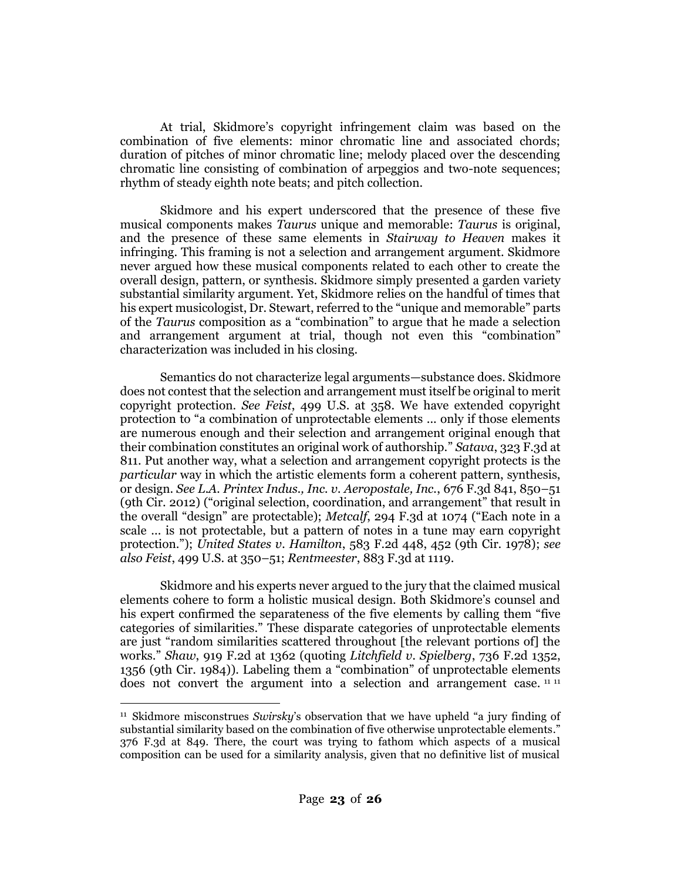At trial, Skidmore's copyright infringement claim was based on the combination of five elements: minor chromatic line and associated chords; duration of pitches of minor chromatic line; melody placed over the descending chromatic line consisting of combination of arpeggios and two-note sequences; rhythm of steady eighth note beats; and pitch collection.

Skidmore and his expert underscored that the presence of these five musical components makes *Taurus* unique and memorable: *Taurus* is original, and the presence of these same elements in *Stairway to Heaven* makes it infringing. This framing is not a selection and arrangement argument. Skidmore never argued how these musical components related to each other to create the overall design, pattern, or synthesis. Skidmore simply presented a garden variety substantial similarity argument. Yet, Skidmore relies on the handful of times that his expert musicologist, Dr. Stewart, referred to the "unique and memorable" parts of the *Taurus* composition as a "combination" to argue that he made a selection and arrangement argument at trial, though not even this "combination" characterization was included in his closing.

Semantics do not characterize legal arguments—substance does. Skidmore does not contest that the selection and arrangement must itself be original to merit copyright protection. *See Feist*[, 499 U.S. at 358.](http://www.westlaw.com/Link/Document/FullText?findType=Y&serNum=1991060551&pubNum=0000780&originatingDoc=I03972340624a11ea901f977ab2e6b36d&refType=RP&fi=co_pp_sp_780_358&originationContext=document&vr=3.0&rs=cblt1.0&transitionType=DocumentItem&contextData=(sc.Search)#co_pp_sp_780_358) We have extended copyright protection to "a combination of unprotectable elements ... only if those elements are numerous enough and their selection and arrangement original enough that their combination constitutes an original work of authorship." *Satava*[, 323 F.3d at](http://www.westlaw.com/Link/Document/FullText?findType=Y&serNum=2003233155&pubNum=0000506&originatingDoc=I03972340624a11ea901f977ab2e6b36d&refType=RP&fi=co_pp_sp_506_811&originationContext=document&vr=3.0&rs=cblt1.0&transitionType=DocumentItem&contextData=(sc.Search)#co_pp_sp_506_811)  [811.](http://www.westlaw.com/Link/Document/FullText?findType=Y&serNum=2003233155&pubNum=0000506&originatingDoc=I03972340624a11ea901f977ab2e6b36d&refType=RP&fi=co_pp_sp_506_811&originationContext=document&vr=3.0&rs=cblt1.0&transitionType=DocumentItem&contextData=(sc.Search)#co_pp_sp_506_811) Put another way, what a selection and arrangement copyright protects is the *particular* way in which the artistic elements form a coherent pattern, synthesis, or design. *See [L.A. Printex Indus., Inc. v. Aeropostale, Inc.](http://www.westlaw.com/Link/Document/FullText?findType=Y&serNum=2027459957&pubNum=0000506&originatingDoc=I03972340624a11ea901f977ab2e6b36d&refType=RP&fi=co_pp_sp_506_850&originationContext=document&vr=3.0&rs=cblt1.0&transitionType=DocumentItem&contextData=(sc.Search)#co_pp_sp_506_850)*, 676 F.3d 841, 850–51 [\(9th Cir. 2012\)](http://www.westlaw.com/Link/Document/FullText?findType=Y&serNum=2027459957&pubNum=0000506&originatingDoc=I03972340624a11ea901f977ab2e6b36d&refType=RP&fi=co_pp_sp_506_850&originationContext=document&vr=3.0&rs=cblt1.0&transitionType=DocumentItem&contextData=(sc.Search)#co_pp_sp_506_850) ("original selection, coordination, and arrangement" that result in the overall "design" are protectable); *Metcalf*[, 294 F.3d at 1074](http://www.westlaw.com/Link/Document/FullText?findType=Y&serNum=2002365597&pubNum=0000506&originatingDoc=I03972340624a11ea901f977ab2e6b36d&refType=RP&fi=co_pp_sp_506_1074&originationContext=document&vr=3.0&rs=cblt1.0&transitionType=DocumentItem&contextData=(sc.Search)#co_pp_sp_506_1074) ("Each note in a scale ... is not protectable, but a pattern of notes in a tune may earn copyright protection."); *United States v. Hamilton*[, 583 F.2d 448, 452 \(9th Cir. 1978\);](http://www.westlaw.com/Link/Document/FullText?findType=Y&serNum=1978120243&pubNum=0000350&originatingDoc=I03972340624a11ea901f977ab2e6b36d&refType=RP&fi=co_pp_sp_350_452&originationContext=document&vr=3.0&rs=cblt1.0&transitionType=DocumentItem&contextData=(sc.Search)#co_pp_sp_350_452) *see also Feist*[, 499 U.S. at 350](http://www.westlaw.com/Link/Document/FullText?findType=Y&serNum=1991060551&pubNum=0000780&originatingDoc=I03972340624a11ea901f977ab2e6b36d&refType=RP&fi=co_pp_sp_780_350&originationContext=document&vr=3.0&rs=cblt1.0&transitionType=DocumentItem&contextData=(sc.Search)#co_pp_sp_780_350)–51; *Rentmeester*[, 883 F.3d at 1119.](http://www.westlaw.com/Link/Document/FullText?findType=Y&serNum=2043897592&pubNum=0000506&originatingDoc=I03972340624a11ea901f977ab2e6b36d&refType=RP&fi=co_pp_sp_506_1119&originationContext=document&vr=3.0&rs=cblt1.0&transitionType=DocumentItem&contextData=(sc.Search)#co_pp_sp_506_1119)

Skidmore and his experts never argued to the jury that the claimed musical elements cohere to form a holistic musical design. Both Skidmore's counsel and his expert confirmed the separateness of the five elements by calling them "five categories of similarities." These disparate categories of unprotectable elements are just "random similarities scattered throughout [the relevant portions of] the works." *Shaw*[, 919 F.2d](http://www.westlaw.com/Link/Document/FullText?findType=Y&serNum=1990166741&pubNum=0000350&originatingDoc=I03972340624a11ea901f977ab2e6b36d&refType=RP&fi=co_pp_sp_350_1362&originationContext=document&vr=3.0&rs=cblt1.0&transitionType=DocumentItem&contextData=(sc.Search)#co_pp_sp_350_1362) at 1362 (quoting *[Litchfield v. Spielberg](http://www.westlaw.com/Link/Document/FullText?findType=Y&serNum=1984133241&pubNum=0000350&originatingDoc=I03972340624a11ea901f977ab2e6b36d&refType=RP&fi=co_pp_sp_350_1356&originationContext=document&vr=3.0&rs=cblt1.0&transitionType=DocumentItem&contextData=(sc.Search)#co_pp_sp_350_1356)*, 736 F.2d 1352, [1356 \(9th Cir. 1984\)\)](http://www.westlaw.com/Link/Document/FullText?findType=Y&serNum=1984133241&pubNum=0000350&originatingDoc=I03972340624a11ea901f977ab2e6b36d&refType=RP&fi=co_pp_sp_350_1356&originationContext=document&vr=3.0&rs=cblt1.0&transitionType=DocumentItem&contextData=(sc.Search)#co_pp_sp_350_1356). Labeling them a "combination" of unprotectable elements does not convert the argument into a selection and arrangement case.<sup>11</sup>

<sup>11</sup> Skidmore misconstrues *[Swirsky](http://www.westlaw.com/Link/Document/FullText?findType=Y&serNum=2004692521&pubNum=0000506&originatingDoc=I03972340624a11ea901f977ab2e6b36d&refType=RP&originationContext=document&vr=3.0&rs=cblt1.0&transitionType=DocumentItem&contextData=(sc.Search))*'s observation that we have upheld "a jury finding of substantial similarity based on the combination of five otherwise unprotectable elements." [376 F.3d at 849.](http://www.westlaw.com/Link/Document/FullText?findType=Y&serNum=2004692521&pubNum=0000506&originatingDoc=I03972340624a11ea901f977ab2e6b36d&refType=RP&fi=co_pp_sp_506_849&originationContext=document&vr=3.0&rs=cblt1.0&transitionType=DocumentItem&contextData=(sc.Search)#co_pp_sp_506_849) There, the court was trying to fathom which aspects of a musical composition can be used for a similarity analysis, given that no definitive list of musical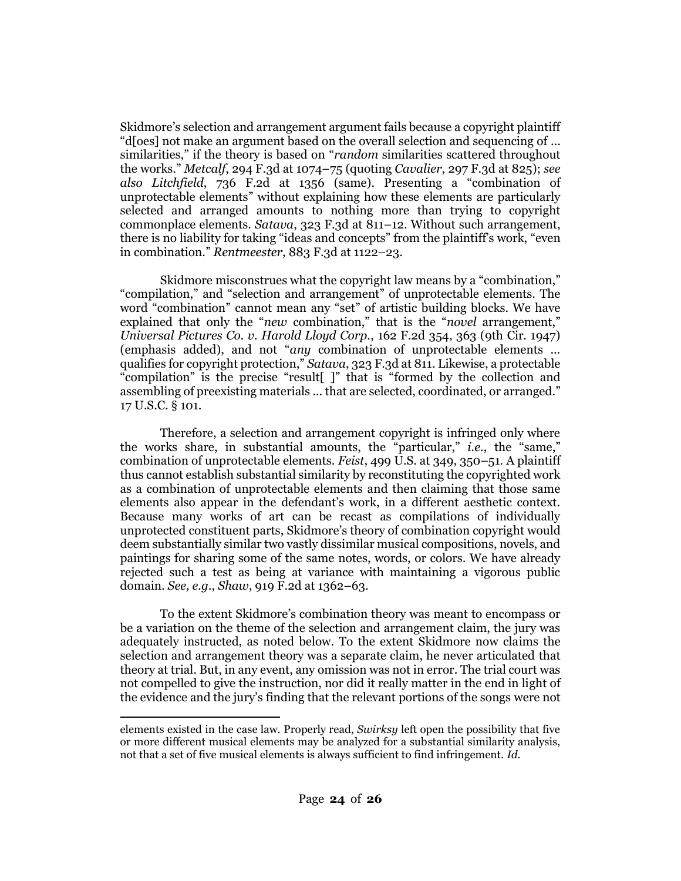Skidmore's selection and arrangement argument fails because a copyright plaintiff "d[oes] not make an argument based on the overall selection and sequencing of ... similarities," if the theory is based on "*random* similarities scattered throughout the works." *Metcalf*[, 294 F.3d at 1074](http://www.westlaw.com/Link/Document/FullText?findType=Y&serNum=2002365597&pubNum=0000506&originatingDoc=I03972340624a11ea901f977ab2e6b36d&refType=RP&fi=co_pp_sp_506_1074&originationContext=document&vr=3.0&rs=cblt1.0&transitionType=DocumentItem&contextData=(sc.Search)#co_pp_sp_506_1074)–75 (quoting *Cavalier*[, 297 F.3d at 825\)](http://www.westlaw.com/Link/Document/FullText?findType=Y&serNum=2002328823&pubNum=0000506&originatingDoc=I03972340624a11ea901f977ab2e6b36d&refType=RP&fi=co_pp_sp_506_825&originationContext=document&vr=3.0&rs=cblt1.0&transitionType=DocumentItem&contextData=(sc.Search)#co_pp_sp_506_825); *see also Litchfield*[, 736 F.2d at 1356](http://www.westlaw.com/Link/Document/FullText?findType=Y&serNum=1984133241&pubNum=0000350&originatingDoc=I03972340624a11ea901f977ab2e6b36d&refType=RP&fi=co_pp_sp_350_1356&originationContext=document&vr=3.0&rs=cblt1.0&transitionType=DocumentItem&contextData=(sc.Search)#co_pp_sp_350_1356) (same). Presenting a "combination of unprotectable elements" without explaining how these elements are particularly selected and arranged amounts to nothing more than trying to copyright commonplace elements. *Satava*[, 323 F.3d at 811](http://www.westlaw.com/Link/Document/FullText?findType=Y&serNum=2003233155&pubNum=0000506&originatingDoc=I03972340624a11ea901f977ab2e6b36d&refType=RP&fi=co_pp_sp_506_811&originationContext=document&vr=3.0&rs=cblt1.0&transitionType=DocumentItem&contextData=(sc.Search)#co_pp_sp_506_811)–12. Without such arrangement, there is no liability for taking "ideas and concepts" from the plaintiff's work, "even in combination." *Rentmeester*[, 883 F.3d at 1122](http://www.westlaw.com/Link/Document/FullText?findType=Y&serNum=2043897592&pubNum=0000506&originatingDoc=I03972340624a11ea901f977ab2e6b36d&refType=RP&fi=co_pp_sp_506_1122&originationContext=document&vr=3.0&rs=cblt1.0&transitionType=DocumentItem&contextData=(sc.Search)#co_pp_sp_506_1122)–23.

Skidmore misconstrues what the copyright law means by a "combination," "compilation," and "selection and arrangement" of unprotectable elements. The word "combination" cannot mean any "set" of artistic building blocks. We have explained that only the "*new* combination," that is the "*novel* arrangement," *[Universal Pictures Co. v. Harold Lloyd Corp.](http://www.westlaw.com/Link/Document/FullText?findType=Y&serNum=1947117514&pubNum=0000350&originatingDoc=I03972340624a11ea901f977ab2e6b36d&refType=RP&fi=co_pp_sp_350_363&originationContext=document&vr=3.0&rs=cblt1.0&transitionType=DocumentItem&contextData=(sc.Search)#co_pp_sp_350_363)*, 162 F.2d 354, 363 (9th Cir. 1947) (emphasis added), and not "*any* combination of unprotectable elements ... qualifies for copyright protection," *Satava*[, 323 F.3d at 811.](http://www.westlaw.com/Link/Document/FullText?findType=Y&serNum=2003233155&pubNum=0000506&originatingDoc=I03972340624a11ea901f977ab2e6b36d&refType=RP&fi=co_pp_sp_506_811&originationContext=document&vr=3.0&rs=cblt1.0&transitionType=DocumentItem&contextData=(sc.Search)#co_pp_sp_506_811) Likewise, a protectable "compilation" is the precise "result[ ]" that is "formed by the collection and assembling of preexisting materials ... that are selected, coordinated, or arranged." [17 U.S.C. § 101.](http://www.westlaw.com/Link/Document/FullText?findType=L&pubNum=1000546&cite=17USCAS101&originatingDoc=I03972340624a11ea901f977ab2e6b36d&refType=LQ&originationContext=document&vr=3.0&rs=cblt1.0&transitionType=DocumentItem&contextData=(sc.Search))

Therefore, a selection and arrangement copyright is infringed only where the works share, in substantial amounts, the "particular," *i.e.*, the "same," combination of unprotectable elements. *Feist*[, 499 U.S. at 349, 350](http://www.westlaw.com/Link/Document/FullText?findType=Y&serNum=1991060551&pubNum=0000780&originatingDoc=I03972340624a11ea901f977ab2e6b36d&refType=RP&fi=co_pp_sp_780_349&originationContext=document&vr=3.0&rs=cblt1.0&transitionType=DocumentItem&contextData=(sc.Search)#co_pp_sp_780_349)–51. A plaintiff thus cannot establish substantial similarity by reconstituting the copyrighted work as a combination of unprotectable elements and then claiming that those same elements also appear in the defendant's work, in a different aesthetic context. Because many works of art can be recast as compilations of individually unprotected constituent parts, Skidmore's theory of combination copyright would deem substantially similar two vastly dissimilar musical compositions, novels, and paintings for sharing some of the same notes, words, or colors. We have already rejected such a test as being at variance with maintaining a vigorous public domain. *See, e.g.*, *Shaw*[, 919 F.2d at 1362](http://www.westlaw.com/Link/Document/FullText?findType=Y&serNum=1990166741&pubNum=0000350&originatingDoc=I03972340624a11ea901f977ab2e6b36d&refType=RP&fi=co_pp_sp_350_1362&originationContext=document&vr=3.0&rs=cblt1.0&transitionType=DocumentItem&contextData=(sc.Search)#co_pp_sp_350_1362)–63.

To the extent Skidmore's combination theory was meant to encompass or be a variation on the theme of the selection and arrangement claim, the jury was adequately instructed, as noted below. To the extent Skidmore now claims the selection and arrangement theory was a separate claim, he never articulated that theory at trial. But, in any event, any omission was not in error. The trial court was not compelled to give the instruction, nor did it really matter in the end in light of the evidence and the jury's finding that the relevant portions of the songs were not

elements existed in the case law. Properly read, *[Swirksy](http://www.westlaw.com/Link/Document/FullText?findType=Y&serNum=2004692521&originatingDoc=I03972340624a11ea901f977ab2e6b36d&refType=RP&originationContext=document&vr=3.0&rs=cblt1.0&transitionType=DocumentItem&contextData=(sc.Search))* left open the possibility that five or more different musical elements may be analyzed for a substantial similarity analysis, not that a set of five musical elements is always sufficient to find infringement. *[Id.](http://www.westlaw.com/Link/Document/FullText?findType=Y&serNum=2004692521&pubNum=0000506&originatingDoc=I03972340624a11ea901f977ab2e6b36d&refType=RP&originationContext=document&vr=3.0&rs=cblt1.0&transitionType=DocumentItem&contextData=(sc.Search))*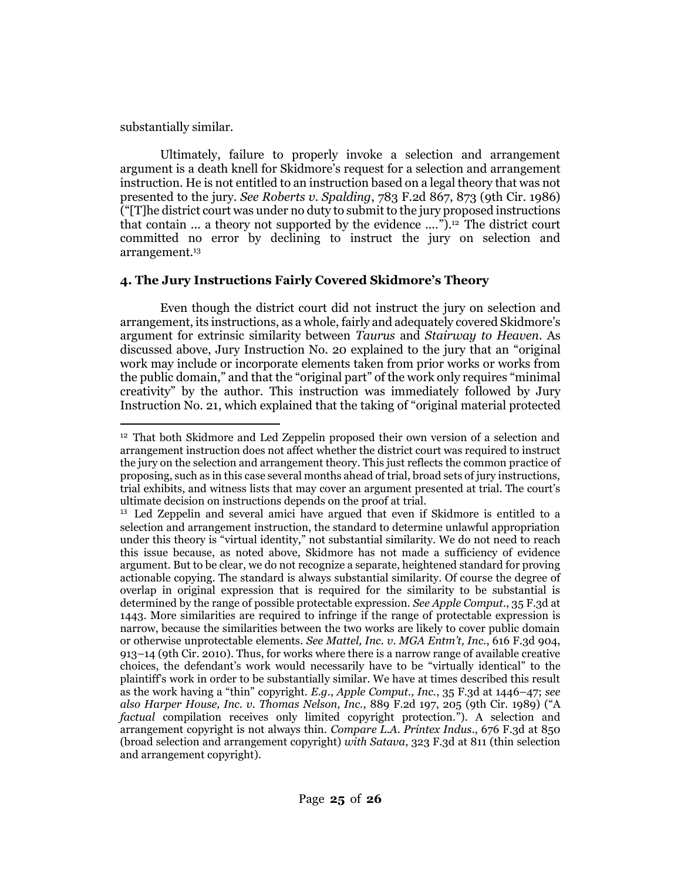#### substantially similar.

Ultimately, failure to properly invoke a selection and arrangement argument is a death knell for Skidmore's request for a selection and arrangement instruction. He is not entitled to an instruction based on a legal theory that was not presented to the jury. *See Roberts v. Spalding*[, 783 F.2d 867, 873 \(9th Cir. 1986\)](http://www.westlaw.com/Link/Document/FullText?findType=Y&serNum=1986109579&pubNum=0000350&originatingDoc=I03972340624a11ea901f977ab2e6b36d&refType=RP&fi=co_pp_sp_350_873&originationContext=document&vr=3.0&rs=cblt1.0&transitionType=DocumentItem&contextData=(sc.Search)#co_pp_sp_350_873) ("[T]he district court was under no duty to submit to the jury proposed instructions that contain ... a theory not supported by the evidence ....").<sup>12</sup> The district court committed no error by declining to instruct the jury on selection and arrangement.<sup>13</sup>

## **4. The Jury Instructions Fairly Covered Skidmore's Theory**

Even though the district court did not instruct the jury on selection and arrangement, its instructions, as a whole, fairly and adequately covered Skidmore's argument for extrinsic similarity between *Taurus* and *Stairway to Heaven*. As discussed above, Jury Instruction No. 20 explained to the jury that an "original work may include or incorporate elements taken from prior works or works from the public domain," and that the "original part" of the work only requires "minimal creativity" by the author. This instruction was immediately followed by Jury Instruction No. 21, which explained that the taking of "original material protected

<sup>12</sup> That both Skidmore and Led Zeppelin proposed their own version of a selection and arrangement instruction does not affect whether the district court was required to instruct the jury on the selection and arrangement theory. This just reflects the common practice of proposing, such as in this case several months ahead of trial, broad sets of jury instructions, trial exhibits, and witness lists that may cover an argument presented at trial. The court's ultimate decision on instructions depends on the proof at trial.

<sup>&</sup>lt;sup>13</sup> Led Zeppelin and several amici have argued that even if Skidmore is entitled to a selection and arrangement instruction, the standard to determine unlawful appropriation under this theory is "virtual identity," not substantial similarity. We do not need to reach this issue because, as noted above, Skidmore has not made a sufficiency of evidence argument. But to be clear, we do not recognize a separate, heightened standard for proving actionable copying. The standard is always substantial similarity. Of course the degree of overlap in original expression that is required for the similarity to be substantial is determined by the range of possible protectable expression. *See [Apple Comput.](http://www.westlaw.com/Link/Document/FullText?findType=Y&serNum=1994188702&pubNum=0000506&originatingDoc=I03972340624a11ea901f977ab2e6b36d&refType=RP&fi=co_pp_sp_506_1443&originationContext=document&vr=3.0&rs=cblt1.0&transitionType=DocumentItem&contextData=(sc.Search)#co_pp_sp_506_1443)*, 35 F.3d at [1443.](http://www.westlaw.com/Link/Document/FullText?findType=Y&serNum=1994188702&pubNum=0000506&originatingDoc=I03972340624a11ea901f977ab2e6b36d&refType=RP&fi=co_pp_sp_506_1443&originationContext=document&vr=3.0&rs=cblt1.0&transitionType=DocumentItem&contextData=(sc.Search)#co_pp_sp_506_1443) More similarities are required to infringe if the range of protectable expression is narrow, because the similarities between the two works are likely to cover public domain or otherwise unprotectable elements. *See [Mattel, Inc. v. MGA](http://www.westlaw.com/Link/Document/FullText?findType=Y&serNum=2022583077&pubNum=0000506&originatingDoc=I03972340624a11ea901f977ab2e6b36d&refType=RP&fi=co_pp_sp_506_913&originationContext=document&vr=3.0&rs=cblt1.0&transitionType=DocumentItem&contextData=(sc.Search)#co_pp_sp_506_913) Entm't, Inc.*, 616 F.3d 904, 913–[14 \(9th Cir. 2010\).](http://www.westlaw.com/Link/Document/FullText?findType=Y&serNum=2022583077&pubNum=0000506&originatingDoc=I03972340624a11ea901f977ab2e6b36d&refType=RP&fi=co_pp_sp_506_913&originationContext=document&vr=3.0&rs=cblt1.0&transitionType=DocumentItem&contextData=(sc.Search)#co_pp_sp_506_913) Thus, for works where there is a narrow range of available creative choices, the defendant's work would necessarily have to be "virtually identical" to the plaintiff's work in order to be substantially similar. We have at times described this result as the work having a "thin" copyright. *E.g.*, *[Apple Comput., Inc.](http://www.westlaw.com/Link/Document/FullText?findType=Y&serNum=1994188702&pubNum=0000506&originatingDoc=I03972340624a11ea901f977ab2e6b36d&refType=RP&fi=co_pp_sp_506_1446&originationContext=document&vr=3.0&rs=cblt1.0&transitionType=DocumentItem&contextData=(sc.Search)#co_pp_sp_506_1446)*, 35 F.3d at 1446–47; *see also [Harper House, Inc. v. Thomas Nelson, Inc.](http://www.westlaw.com/Link/Document/FullText?findType=Y&serNum=1989155351&pubNum=0000350&originatingDoc=I03972340624a11ea901f977ab2e6b36d&refType=RP&fi=co_pp_sp_350_205&originationContext=document&vr=3.0&rs=cblt1.0&transitionType=DocumentItem&contextData=(sc.Search)#co_pp_sp_350_205)*, 889 F.2d 197, 205 (9th Cir. 1989) ("A *factual* compilation receives only limited copyright protection."). A selection and arrangement copyright is not always thin. *Compare [L.A. Printex Indus.](http://www.westlaw.com/Link/Document/FullText?findType=Y&serNum=2027459957&pubNum=0000506&originatingDoc=I03972340624a11ea901f977ab2e6b36d&refType=RP&fi=co_pp_sp_506_850&originationContext=document&vr=3.0&rs=cblt1.0&transitionType=DocumentItem&contextData=(sc.Search)#co_pp_sp_506_850)*, 676 F.3d at 850 (broad selection and arrangement copyright) *with Satava*[, 323 F.3d at 811](http://www.westlaw.com/Link/Document/FullText?findType=Y&serNum=2003233155&pubNum=0000506&originatingDoc=I03972340624a11ea901f977ab2e6b36d&refType=RP&fi=co_pp_sp_506_811&originationContext=document&vr=3.0&rs=cblt1.0&transitionType=DocumentItem&contextData=(sc.Search)#co_pp_sp_506_811) (thin selection and arrangement copyright).